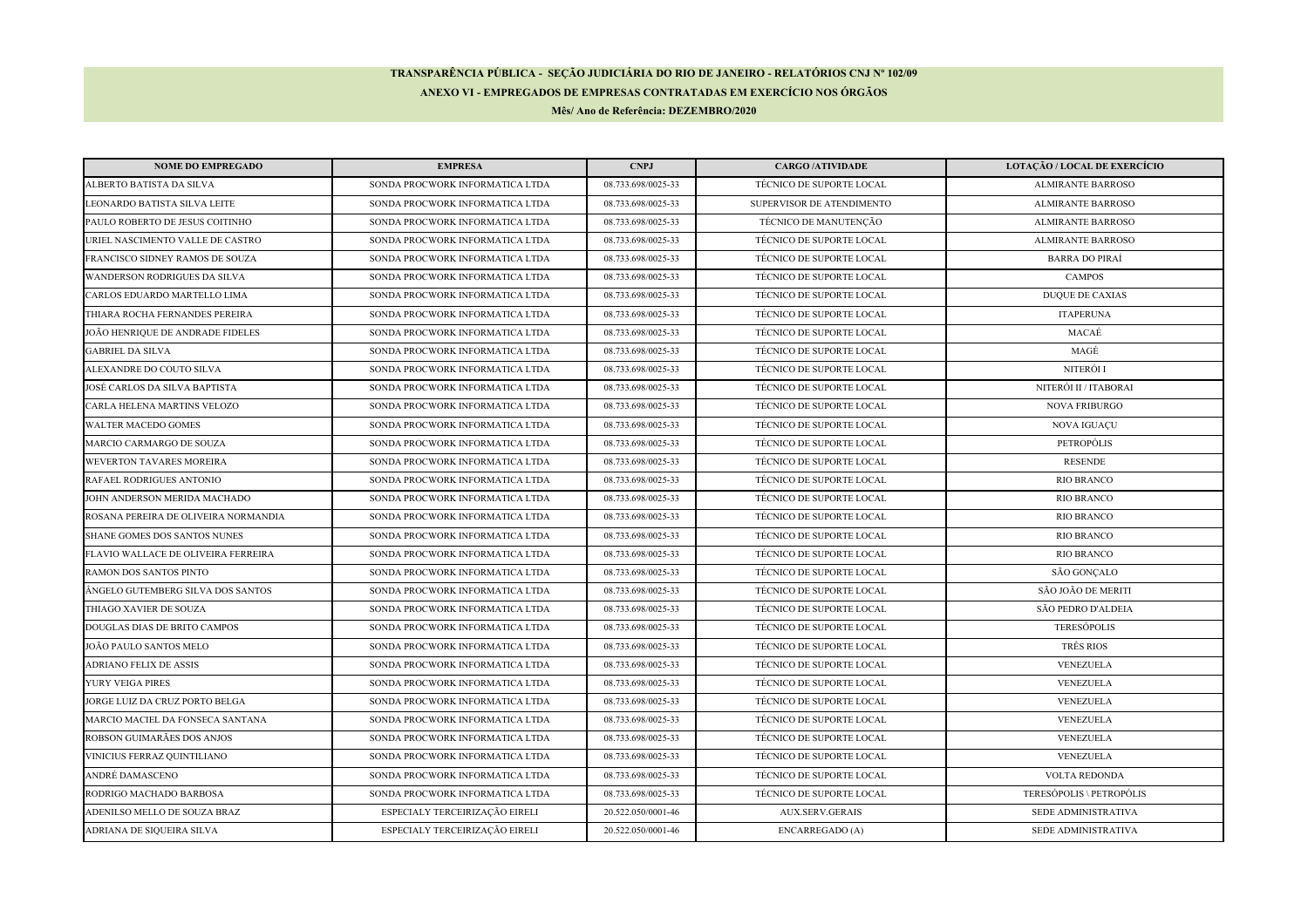## **TRANSPARÊNCIA PÚBLICA - SEÇÃO JUDICIÁRIA DO RIO DE JANEIRO - RELATÓRIOS CNJ Nº 102/09ANEXO VI - EMPREGADOS DE EMPRESAS CONTRATADAS EM EXERCÍCIO NOS ÓRGÃOS**

**Mês/ Ano de Referência: DEZEMBRO/2020**

| <b>NOME DO EMPREGADO</b>             | <b>EMPRESA</b>                  | <b>CNPJ</b>        | <b>CARGO/ATIVIDADE</b>          | LOTAÇÃO / LOCAL DE EXERCÍCIO |
|--------------------------------------|---------------------------------|--------------------|---------------------------------|------------------------------|
| ALBERTO BATISTA DA SILVA             | SONDA PROCWORK INFORMATICA LTDA | 08.733.698/0025-33 | <b>TÉCNICO DE SUPORTE LOCAL</b> | <b>ALMIRANTE BARROSO</b>     |
| LEONARDO BATISTA SILVA LEITE         | SONDA PROCWORK INFORMATICA LTDA | 08.733.698/0025-33 | SUPERVISOR DE ATENDIMENTO       | <b>ALMIRANTE BARROSO</b>     |
| PAULO ROBERTO DE JESUS COITINHO      | SONDA PROCWORK INFORMATICA LTDA | 08.733.698/0025-33 | TÉCNICO DE MANUTENÇÃO           | <b>ALMIRANTE BARROSO</b>     |
| URIEL NASCIMENTO VALLE DE CASTRO     | SONDA PROCWORK INFORMATICA LTDA | 08.733.698/0025-33 | TÉCNICO DE SUPORTE LOCAL        | <b>ALMIRANTE BARROSO</b>     |
| FRANCISCO SIDNEY RAMOS DE SOUZA      | SONDA PROCWORK INFORMATICA LTDA | 08.733.698/0025-33 | TÉCNICO DE SUPORTE LOCAL        | <b>BARRA DO PIRAÍ</b>        |
| <b>WANDERSON RODRIGUES DA SILVA</b>  | SONDA PROCWORK INFORMATICA LTDA | 08.733.698/0025-33 | TÉCNICO DE SUPORTE LOCAL        | <b>CAMPOS</b>                |
| CARLOS EDUARDO MARTELLO LIMA         | SONDA PROCWORK INFORMATICA LTDA | 08.733.698/0025-33 | <b>TÉCNICO DE SUPORTE LOCAL</b> | <b>DUQUE DE CAXIAS</b>       |
| THIARA ROCHA FERNANDES PEREIRA       | SONDA PROCWORK INFORMATICA LTDA | 08.733.698/0025-33 | TÉCNICO DE SUPORTE LOCAL        | <b>ITAPERUNA</b>             |
| JOÃO HENRIQUE DE ANDRADE FIDELES     | SONDA PROCWORK INFORMATICA LTDA | 08.733.698/0025-33 | TÉCNICO DE SUPORTE LOCAL        | MACAÉ                        |
| <b>GABRIEL DA SILVA</b>              | SONDA PROCWORK INFORMATICA LTDA | 08.733.698/0025-33 | TÉCNICO DE SUPORTE LOCAL        | MAGÉ                         |
| ALEXANDRE DO COUTO SILVA             | SONDA PROCWORK INFORMATICA LTDA | 08.733.698/0025-33 | TÉCNICO DE SUPORTE LOCAL        | NITERÓI I                    |
| JOSÉ CARLOS DA SILVA BAPTISTA        | SONDA PROCWORK INFORMATICA LTDA | 08.733.698/0025-33 | TÉCNICO DE SUPORTE LOCAL        | NITERÓI II / ITABORAI        |
| CARLA HELENA MARTINS VELOZO          | SONDA PROCWORK INFORMATICA LTDA | 08.733.698/0025-33 | TÉCNICO DE SUPORTE LOCAL        | <b>NOVA FRIBURGO</b>         |
| <b>WALTER MACEDO GOMES</b>           | SONDA PROCWORK INFORMATICA LTDA | 08.733.698/0025-33 | TÉCNICO DE SUPORTE LOCAL        | <b>NOVA IGUAÇU</b>           |
| MARCIO CARMARGO DE SOUZA             | SONDA PROCWORK INFORMATICA LTDA | 08.733.698/0025-33 | TÉCNICO DE SUPORTE LOCAL        | PETROPÓLIS                   |
| <b>WEVERTON TAVARES MOREIRA</b>      | SONDA PROCWORK INFORMATICA LTDA | 08.733.698/0025-33 | TÉCNICO DE SUPORTE LOCAL        | <b>RESENDE</b>               |
| RAFAEL RODRIGUES ANTONIO             | SONDA PROCWORK INFORMATICA LTDA | 08.733.698/0025-33 | TÉCNICO DE SUPORTE LOCAL        | <b>RIO BRANCO</b>            |
| JOHN ANDERSON MERIDA MACHADO         | SONDA PROCWORK INFORMATICA LTDA | 08.733.698/0025-33 | TÉCNICO DE SUPORTE LOCAL        | <b>RIO BRANCO</b>            |
| ROSANA PEREIRA DE OLIVEIRA NORMANDIA | SONDA PROCWORK INFORMATICA LTDA | 08.733.698/0025-33 | TÉCNICO DE SUPORTE LOCAL        | <b>RIO BRANCO</b>            |
| SHANE GOMES DOS SANTOS NUNES         | SONDA PROCWORK INFORMATICA LTDA | 08.733.698/0025-33 | TÉCNICO DE SUPORTE LOCAL        | <b>RIO BRANCO</b>            |
| FLAVIO WALLACE DE OLIVEIRA FERREIRA  | SONDA PROCWORK INFORMATICA LTDA | 08.733.698/0025-33 | TÉCNICO DE SUPORTE LOCAL        | <b>RIO BRANCO</b>            |
| RAMON DOS SANTOS PINTO               | SONDA PROCWORK INFORMATICA LTDA | 08.733.698/0025-33 | TÉCNICO DE SUPORTE LOCAL        | SÃO GONÇALO                  |
| ÂNGELO GUTEMBERG SILVA DOS SANTOS    | SONDA PROCWORK INFORMATICA LTDA | 08.733.698/0025-33 | TÉCNICO DE SUPORTE LOCAL        | SÃO JOÃO DE MERITI           |
| THIAGO XAVIER DE SOUZA               | SONDA PROCWORK INFORMATICA LTDA | 08.733.698/0025-33 | TÉCNICO DE SUPORTE LOCAL        | SÃO PEDRO D'ALDEIA           |
| DOUGLAS DIAS DE BRITO CAMPOS         | SONDA PROCWORK INFORMATICA LTDA | 08.733.698/0025-33 | TÉCNICO DE SUPORTE LOCAL        | <b>TERESÓPOLIS</b>           |
| JOÃO PAULO SANTOS MELO               | SONDA PROCWORK INFORMATICA LTDA | 08.733.698/0025-33 | TÉCNICO DE SUPORTE LOCAL        | TRÊS RIOS                    |
| <b>ADRIANO FELIX DE ASSIS</b>        | SONDA PROCWORK INFORMATICA LTDA | 08.733.698/0025-33 | TÉCNICO DE SUPORTE LOCAL        | <b>VENEZUELA</b>             |
| YURY VEIGA PIRES                     | SONDA PROCWORK INFORMATICA LTDA | 08.733.698/0025-33 | TÉCNICO DE SUPORTE LOCAL        | <b>VENEZUELA</b>             |
| JORGE LUIZ DA CRUZ PORTO BELGA       | SONDA PROCWORK INFORMATICA LTDA | 08.733.698/0025-33 | TÉCNICO DE SUPORTE LOCAL        | VENEZUELA                    |
| MARCIO MACIEL DA FONSECA SANTANA     | SONDA PROCWORK INFORMATICA LTDA | 08.733.698/0025-33 | TÉCNICO DE SUPORTE LOCAL        | VENEZUELA                    |
| ROBSON GUIMARÃES DOS ANJOS           | SONDA PROCWORK INFORMATICA LTDA | 08.733.698/0025-33 | TÉCNICO DE SUPORTE LOCAL        | VENEZUELA                    |
| VINICIUS FERRAZ QUINTILIANO          | SONDA PROCWORK INFORMATICA LTDA | 08.733.698/0025-33 | TÉCNICO DE SUPORTE LOCAL        | VENEZUELA                    |
| ANDRÉ DAMASCENO                      | SONDA PROCWORK INFORMATICA LTDA | 08.733.698/0025-33 | TÉCNICO DE SUPORTE LOCAL        | VOLTA REDONDA                |
| RODRIGO MACHADO BARBOSA              | SONDA PROCWORK INFORMATICA LTDA | 08.733.698/0025-33 | TÉCNICO DE SUPORTE LOCAL        | TERESÓPOLIS \ PETROPÓLIS     |
| ADENILSO MELLO DE SOUZA BRAZ         | ESPECIALY TERCEIRIZAÇÃO EIRELI  | 20.522.050/0001-46 | <b>AUX.SERV.GERAIS</b>          | SEDE ADMINISTRATIVA          |
| ADRIANA DE SIQUEIRA SILVA            | ESPECIALY TERCEIRIZAÇÃO EIRELI  | 20.522.050/0001-46 | <b>ENCARREGADO</b> (A)          | SEDE ADMINISTRATIVA          |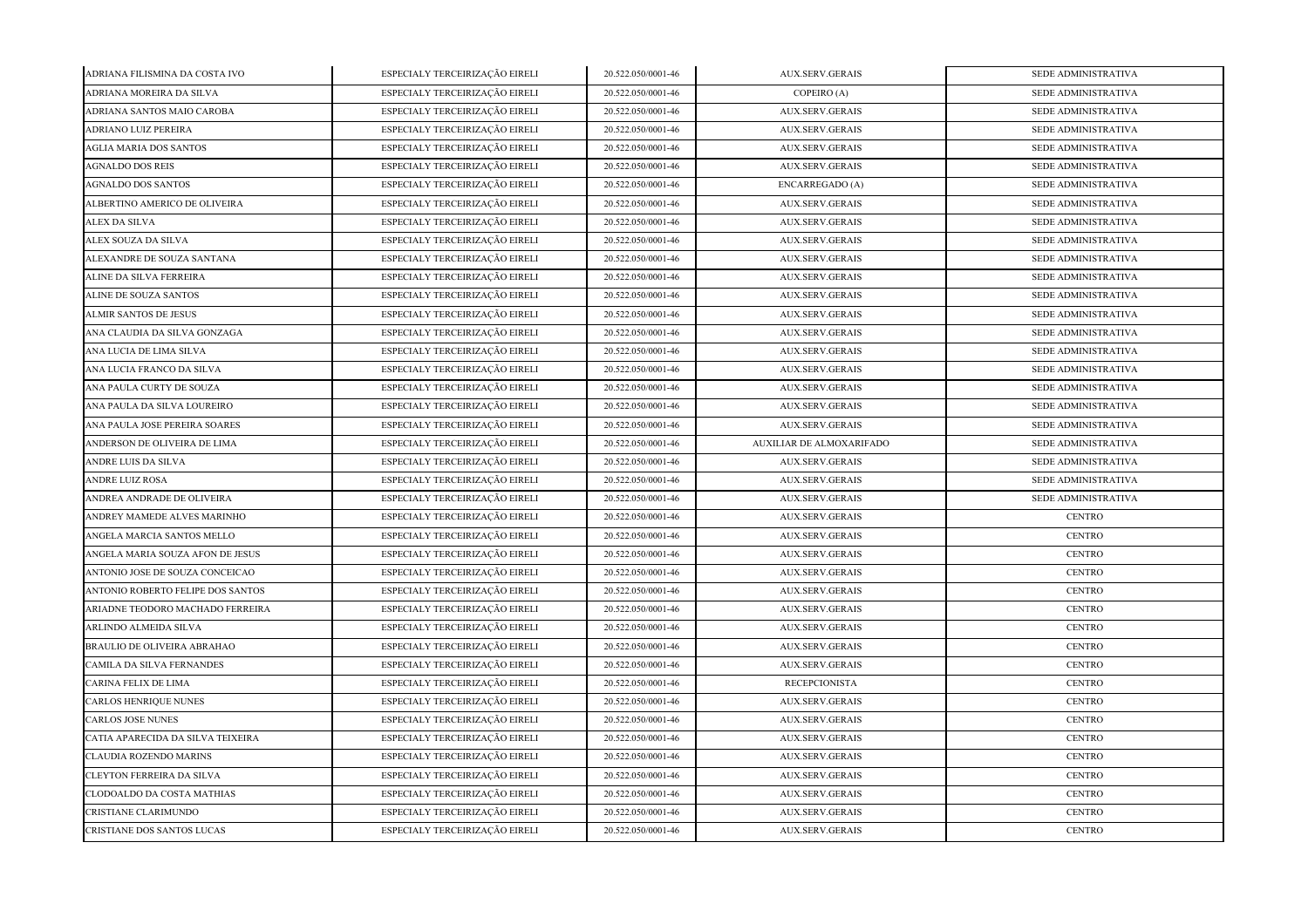| ADRIANA FILISMINA DA COSTA IVO    | ESPECIALY TERCEIRIZAÇÃO EIRELI | 20.522.050/0001-46 | <b>AUX.SERV.GERAIS</b>   | SEDE ADMINISTRATIVA |
|-----------------------------------|--------------------------------|--------------------|--------------------------|---------------------|
| ADRIANA MOREIRA DA SILVA          | ESPECIALY TERCEIRIZAÇÃO EIRELI | 20.522.050/0001-46 | COPEIRO (A)              | SEDE ADMINISTRATIVA |
| ADRIANA SANTOS MAIO CAROBA        | ESPECIALY TERCEIRIZAÇÃO EIRELI | 20.522.050/0001-46 | <b>AUX.SERV.GERAIS</b>   | SEDE ADMINISTRATIVA |
| ADRIANO LUIZ PEREIRA              | ESPECIALY TERCEIRIZAÇÃO EIRELI | 20.522.050/0001-46 | AUX.SERV.GERAIS          | SEDE ADMINISTRATIVA |
| <b>AGLIA MARIA DOS SANTOS</b>     | ESPECIALY TERCEIRIZAÇÃO EIRELI | 20.522.050/0001-46 | <b>AUX.SERV.GERAIS</b>   | SEDE ADMINISTRATIVA |
| <b>AGNALDO DOS REIS</b>           | ESPECIALY TERCEIRIZAÇÃO EIRELI | 20.522.050/0001-46 | <b>AUX.SERV.GERAIS</b>   | SEDE ADMINISTRATIVA |
| <b>AGNALDO DOS SANTOS</b>         | ESPECIALY TERCEIRIZAÇÃO EIRELI | 20.522.050/0001-46 | <b>ENCARREGADO</b> (A)   | SEDE ADMINISTRATIVA |
| ALBERTINO AMERICO DE OLIVEIRA     | ESPECIALY TERCEIRIZAÇÃO EIRELI | 20.522.050/0001-46 | <b>AUX.SERV.GERAIS</b>   | SEDE ADMINISTRATIVA |
| ALEX DA SILVA                     | ESPECIALY TERCEIRIZAÇÃO EIRELI | 20.522.050/0001-46 | <b>AUX.SERV.GERAIS</b>   | SEDE ADMINISTRATIVA |
| ALEX SOUZA DA SILVA               | ESPECIALY TERCEIRIZAÇÃO EIRELI | 20.522.050/0001-46 | <b>AUX.SERV.GERAIS</b>   | SEDE ADMINISTRATIVA |
| ALEXANDRE DE SOUZA SANTANA        | ESPECIALY TERCEIRIZAÇÃO EIRELI | 20.522.050/0001-46 | AUX.SERV.GERAIS          | SEDE ADMINISTRATIVA |
| ALINE DA SILVA FERREIRA           | ESPECIALY TERCEIRIZAÇÃO EIRELI | 20.522.050/0001-46 | <b>AUX.SERV.GERAIS</b>   | SEDE ADMINISTRATIVA |
| ALINE DE SOUZA SANTOS             | ESPECIALY TERCEIRIZAÇÃO EIRELI | 20.522.050/0001-46 | <b>AUX.SERV.GERAIS</b>   | SEDE ADMINISTRATIVA |
| <b>ALMIR SANTOS DE JESUS</b>      | ESPECIALY TERCEIRIZAÇÃO EIRELI | 20.522.050/0001-46 | <b>AUX.SERV.GERAIS</b>   | SEDE ADMINISTRATIVA |
| ANA CLAUDIA DA SILVA GONZAGA      | ESPECIALY TERCEIRIZAÇÃO EIRELI | 20.522.050/0001-46 | <b>AUX.SERV.GERAIS</b>   | SEDE ADMINISTRATIVA |
| ANA LUCIA DE LIMA SILVA           | ESPECIALY TERCEIRIZAÇÃO EIRELI | 20.522.050/0001-46 | <b>AUX.SERV.GERAIS</b>   | SEDE ADMINISTRATIVA |
| ANA LUCIA FRANCO DA SILVA         | ESPECIALY TERCEIRIZAÇÃO EIRELI | 20.522.050/0001-46 | <b>AUX.SERV.GERAIS</b>   | SEDE ADMINISTRATIVA |
| ANA PAULA CURTY DE SOUZA          | ESPECIALY TERCEIRIZAÇÃO EIRELI | 20.522.050/0001-46 | <b>AUX.SERV.GERAIS</b>   | SEDE ADMINISTRATIVA |
| ANA PAULA DA SILVA LOUREIRO       | ESPECIALY TERCEIRIZAÇÃO EIRELI | 20.522.050/0001-46 | <b>AUX.SERV.GERAIS</b>   | SEDE ADMINISTRATIVA |
| ANA PAULA JOSE PEREIRA SOARES     | ESPECIALY TERCEIRIZAÇÃO EIRELI | 20.522.050/0001-46 | <b>AUX.SERV.GERAIS</b>   | SEDE ADMINISTRATIVA |
| ANDERSON DE OLIVEIRA DE LIMA      | ESPECIALY TERCEIRIZAÇÃO EIRELI | 20.522.050/0001-46 | AUXILIAR DE ALMOXARIFADO | SEDE ADMINISTRATIVA |
| ANDRE LUIS DA SILVA               | ESPECIALY TERCEIRIZAÇÃO EIRELI | 20.522.050/0001-46 | AUX.SERV.GERAIS          | SEDE ADMINISTRATIVA |
| ANDRE LUIZ ROSA                   | ESPECIALY TERCEIRIZAÇÃO EIRELI | 20.522.050/0001-46 | <b>AUX.SERV.GERAIS</b>   | SEDE ADMINISTRATIVA |
| ANDREA ANDRADE DE OLIVEIRA        | ESPECIALY TERCEIRIZAÇÃO EIRELI | 20.522.050/0001-46 | <b>AUX.SERV.GERAIS</b>   | SEDE ADMINISTRATIVA |
| ANDREY MAMEDE ALVES MARINHO       | ESPECIALY TERCEIRIZAÇÃO EIRELI | 20.522.050/0001-46 | AUX.SERV.GERAIS          | <b>CENTRO</b>       |
| ANGELA MARCIA SANTOS MELLO        | ESPECIALY TERCEIRIZAÇÃO EIRELI | 20.522.050/0001-46 | <b>AUX.SERV.GERAIS</b>   | <b>CENTRO</b>       |
| ANGELA MARIA SOUZA AFON DE JESUS  | ESPECIALY TERCEIRIZAÇÃO EIRELI | 20.522.050/0001-46 | <b>AUX.SERV.GERAIS</b>   | <b>CENTRO</b>       |
| ANTONIO JOSE DE SOUZA CONCEICAO   | ESPECIALY TERCEIRIZAÇÃO EIRELI | 20.522.050/0001-46 | <b>AUX.SERV.GERAIS</b>   | <b>CENTRO</b>       |
| ANTONIO ROBERTO FELIPE DOS SANTOS | ESPECIALY TERCEIRIZAÇÃO EIRELI | 20.522.050/0001-46 | <b>AUX.SERV.GERAIS</b>   | <b>CENTRO</b>       |
| ARIADNE TEODORO MACHADO FERREIRA  | ESPECIALY TERCEIRIZAÇÃO EIRELI | 20.522.050/0001-46 | <b>AUX.SERV.GERAIS</b>   | <b>CENTRO</b>       |
| ARLINDO ALMEIDA SILVA             | ESPECIALY TERCEIRIZAÇÃO EIRELI | 20.522.050/0001-46 | <b>AUX.SERV.GERAIS</b>   | <b>CENTRO</b>       |
| BRAULIO DE OLIVEIRA ABRAHAO       | ESPECIALY TERCEIRIZAÇÃO EIRELI | 20.522.050/0001-46 | <b>AUX.SERV.GERAIS</b>   | <b>CENTRO</b>       |
| CAMILA DA SILVA FERNANDES         | ESPECIALY TERCEIRIZAÇÃO EIRELI | 20.522.050/0001-46 | <b>AUX.SERV.GERAIS</b>   | <b>CENTRO</b>       |
| CARINA FELIX DE LIMA              | ESPECIALY TERCEIRIZAÇÃO EIRELI | 20.522.050/0001-46 | <b>RECEPCIONISTA</b>     | <b>CENTRO</b>       |
| CARLOS HENRIQUE NUNES             | ESPECIALY TERCEIRIZAÇÃO EIRELI | 20.522.050/0001-46 | <b>AUX.SERV.GERAIS</b>   | <b>CENTRO</b>       |
| <b>CARLOS JOSE NUNES</b>          | ESPECIALY TERCEIRIZAÇÃO EIRELI | 20.522.050/0001-46 | <b>AUX.SERV.GERAIS</b>   | <b>CENTRO</b>       |
| CATIA APARECIDA DA SILVA TEIXEIRA | ESPECIALY TERCEIRIZAÇÃO EIRELI | 20.522.050/0001-46 | <b>AUX.SERV.GERAIS</b>   | <b>CENTRO</b>       |
| <b>CLAUDIA ROZENDO MARINS</b>     | ESPECIALY TERCEIRIZAÇÃO EIRELI | 20.522.050/0001-46 | <b>AUX.SERV.GERAIS</b>   | <b>CENTRO</b>       |
| <b>CLEYTON FERREIRA DA SILVA</b>  | ESPECIALY TERCEIRIZAÇÃO EIRELI | 20.522.050/0001-46 | <b>AUX.SERV.GERAIS</b>   | $\sf CENTRO$        |
| CLODOALDO DA COSTA MATHIAS        | ESPECIALY TERCEIRIZAÇÃO EIRELI | 20.522.050/0001-46 | <b>AUX.SERV.GERAIS</b>   | <b>CENTRO</b>       |
| CRISTIANE CLARIMUNDO              | ESPECIALY TERCEIRIZAÇÃO EIRELI | 20.522.050/0001-46 | <b>AUX.SERV.GERAIS</b>   | <b>CENTRO</b>       |
| CRISTIANE DOS SANTOS LUCAS        | ESPECIALY TERCEIRIZAÇÃO EIRELI | 20.522.050/0001-46 | <b>AUX.SERV.GERAIS</b>   | <b>CENTRO</b>       |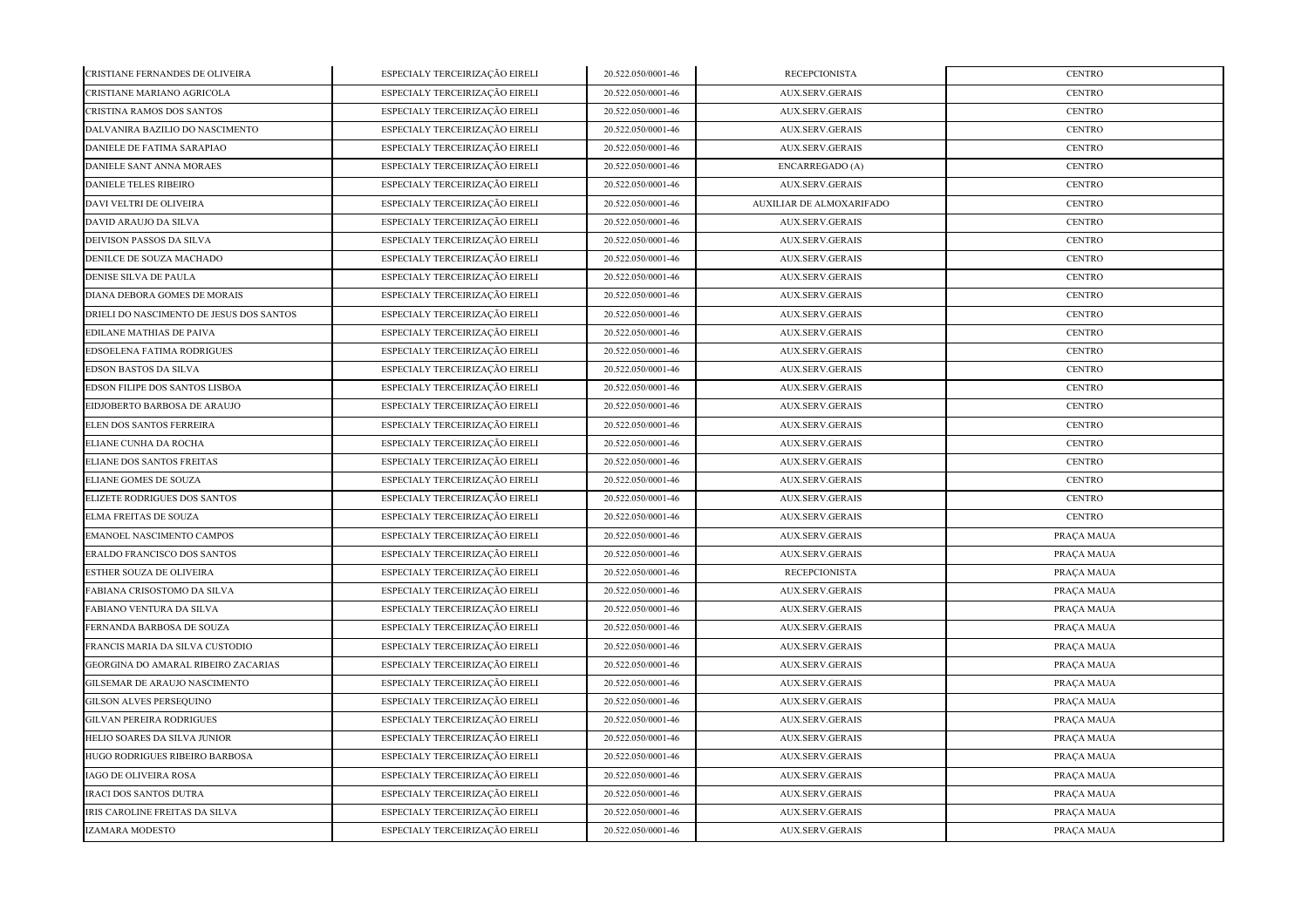| CRISTIANE FERNANDES DE OLIVEIRA          | ESPECIALY TERCEIRIZAÇÃO EIRELI | 20.522.050/0001-46 | <b>RECEPCIONISTA</b>     | <b>CENTRO</b> |
|------------------------------------------|--------------------------------|--------------------|--------------------------|---------------|
| CRISTIANE MARIANO AGRICOLA               | ESPECIALY TERCEIRIZAÇÃO EIRELI | 20.522.050/0001-46 | AUX.SERV.GERAIS          | <b>CENTRO</b> |
| CRISTINA RAMOS DOS SANTOS                | ESPECIALY TERCEIRIZAÇÃO EIRELI | 20.522.050/0001-46 | <b>AUX.SERV.GERAIS</b>   | <b>CENTRO</b> |
| DALVANIRA BAZILIO DO NASCIMENTO          | ESPECIALY TERCEIRIZAÇÃO EIRELI | 20.522.050/0001-46 | <b>AUX.SERV.GERAIS</b>   | <b>CENTRO</b> |
| DANIELE DE FATIMA SARAPIAO               | ESPECIALY TERCEIRIZAÇÃO EIRELI | 20.522.050/0001-46 | <b>AUX.SERV.GERAIS</b>   | <b>CENTRO</b> |
| DANIELE SANT ANNA MORAES                 | ESPECIALY TERCEIRIZAÇÃO EIRELI | 20.522.050/0001-46 | ENCARREGADO (A)          | <b>CENTRO</b> |
| <b>DANIELE TELES RIBEIRO</b>             | ESPECIALY TERCEIRIZAÇÃO EIRELI | 20.522.050/0001-46 | <b>AUX.SERV.GERAIS</b>   | <b>CENTRO</b> |
| DAVI VELTRI DE OLIVEIRA                  | ESPECIALY TERCEIRIZAÇÃO EIRELI | 20.522.050/0001-46 | AUXILIAR DE ALMOXARIFADO | <b>CENTRO</b> |
| DAVID ARAUJO DA SILVA                    | ESPECIALY TERCEIRIZAÇÃO EIRELI | 20.522.050/0001-46 | <b>AUX.SERV.GERAIS</b>   | <b>CENTRO</b> |
| DEIVISON PASSOS DA SILVA                 | ESPECIALY TERCEIRIZAÇÃO EIRELI | 20.522.050/0001-46 | <b>AUX.SERV.GERAIS</b>   | <b>CENTRO</b> |
| DENILCE DE SOUZA MACHADO                 | ESPECIALY TERCEIRIZAÇÃO EIRELI | 20.522.050/0001-46 | <b>AUX.SERV.GERAIS</b>   | <b>CENTRO</b> |
| DENISE SILVA DE PAULA                    | ESPECIALY TERCEIRIZAÇÃO EIRELI | 20.522.050/0001-46 | <b>AUX.SERV.GERAIS</b>   | <b>CENTRO</b> |
| DIANA DEBORA GOMES DE MORAIS             | ESPECIALY TERCEIRIZAÇÃO EIRELI | 20.522.050/0001-46 | <b>AUX.SERV.GERAIS</b>   | <b>CENTRO</b> |
| DRIELI DO NASCIMENTO DE JESUS DOS SANTOS | ESPECIALY TERCEIRIZAÇÃO EIRELI | 20.522.050/0001-46 | AUX.SERV.GERAIS          | <b>CENTRO</b> |
| EDILANE MATHIAS DE PAIVA                 | ESPECIALY TERCEIRIZAÇÃO EIRELI | 20.522.050/0001-46 | <b>AUX.SERV.GERAIS</b>   | <b>CENTRO</b> |
| EDSOELENA FATIMA RODRIGUES               | ESPECIALY TERCEIRIZAÇÃO EIRELI | 20.522.050/0001-46 | <b>AUX.SERV.GERAIS</b>   | <b>CENTRO</b> |
| <b>EDSON BASTOS DA SILVA</b>             | ESPECIALY TERCEIRIZAÇÃO EIRELI | 20.522.050/0001-46 | <b>AUX.SERV.GERAIS</b>   | <b>CENTRO</b> |
| EDSON FILIPE DOS SANTOS LISBOA           | ESPECIALY TERCEIRIZAÇÃO EIRELI | 20.522.050/0001-46 | <b>AUX.SERV.GERAIS</b>   | <b>CENTRO</b> |
| EIDJOBERTO BARBOSA DE ARAUJO             | ESPECIALY TERCEIRIZAÇÃO EIRELI | 20.522.050/0001-46 | <b>AUX.SERV.GERAIS</b>   | <b>CENTRO</b> |
| ELEN DOS SANTOS FERREIRA                 | ESPECIALY TERCEIRIZAÇÃO EIRELI | 20.522.050/0001-46 | AUX.SERV.GERAIS          | <b>CENTRO</b> |
| ELIANE CUNHA DA ROCHA                    | ESPECIALY TERCEIRIZAÇÃO EIRELI | 20.522.050/0001-46 | <b>AUX.SERV.GERAIS</b>   | <b>CENTRO</b> |
| ELIANE DOS SANTOS FREITAS                | ESPECIALY TERCEIRIZAÇÃO EIRELI | 20.522.050/0001-46 | <b>AUX.SERV.GERAIS</b>   | <b>CENTRO</b> |
| ELIANE GOMES DE SOUZA                    | ESPECIALY TERCEIRIZAÇÃO EIRELI | 20.522.050/0001-46 | <b>AUX.SERV.GERAIS</b>   | <b>CENTRO</b> |
| ELIZETE RODRIGUES DOS SANTOS             | ESPECIALY TERCEIRIZAÇÃO EIRELI | 20.522.050/0001-46 | AUX.SERV.GERAIS          | <b>CENTRO</b> |
| <b>ELMA FREITAS DE SOUZA</b>             | ESPECIALY TERCEIRIZAÇÃO EIRELI | 20.522.050/0001-46 | AUX.SERV.GERAIS          | <b>CENTRO</b> |
| <b>EMANOEL NASCIMENTO CAMPOS</b>         | ESPECIALY TERCEIRIZAÇÃO EIRELI | 20.522.050/0001-46 | <b>AUX.SERV.GERAIS</b>   | PRAÇA MAUA    |
| ERALDO FRANCISCO DOS SANTOS              | ESPECIALY TERCEIRIZAÇÃO EIRELI | 20.522.050/0001-46 | <b>AUX.SERV.GERAIS</b>   | PRAÇA MAUA    |
| ESTHER SOUZA DE OLIVEIRA                 | ESPECIALY TERCEIRIZAÇÃO EIRELI | 20.522.050/0001-46 | <b>RECEPCIONISTA</b>     | PRAÇA MAUA    |
| FABIANA CRISOSTOMO DA SILVA              | ESPECIALY TERCEIRIZAÇÃO EIRELI | 20.522.050/0001-46 | <b>AUX.SERV.GERAIS</b>   | PRAÇA MAUA    |
| FABIANO VENTURA DA SILVA                 | ESPECIALY TERCEIRIZAÇÃO EIRELI | 20.522.050/0001-46 | AUX.SERV.GERAIS          | PRAÇA MAUA    |
| FERNANDA BARBOSA DE SOUZA                | ESPECIALY TERCEIRIZAÇÃO EIRELI | 20.522.050/0001-46 | AUX.SERV.GERAIS          | PRAÇA MAUA    |
| FRANCIS MARIA DA SILVA CUSTODIO          | ESPECIALY TERCEIRIZAÇÃO EIRELI | 20.522.050/0001-46 | AUX.SERV.GERAIS          | PRAÇA MAUA    |
| GEORGINA DO AMARAL RIBEIRO ZACARIAS      | ESPECIALY TERCEIRIZAÇÃO EIRELI | 20.522.050/0001-46 | AUX.SERV.GERAIS          | PRAÇA MAUA    |
| <b>GILSEMAR DE ARAUJO NASCIMENTO</b>     | ESPECIALY TERCEIRIZAÇÃO EIRELI | 20.522.050/0001-46 | <b>AUX.SERV.GERAIS</b>   | PRAÇA MAUA    |
| <b>GILSON ALVES PERSEQUINO</b>           | ESPECIALY TERCEIRIZAÇÃO EIRELI | 20.522.050/0001-46 | <b>AUX.SERV.GERAIS</b>   | PRAÇA MAUA    |
| <b>GILVAN PEREIRA RODRIGUES</b>          | ESPECIALY TERCEIRIZAÇÃO EIRELI | 20.522.050/0001-46 | <b>AUX.SERV.GERAIS</b>   | PRAÇA MAUA    |
| HELIO SOARES DA SILVA JUNIOR             | ESPECIALY TERCEIRIZAÇÃO EIRELI | 20.522.050/0001-46 | <b>AUX.SERV.GERAIS</b>   | PRAÇA MAUA    |
| HUGO RODRIGUES RIBEIRO BARBOSA           | ESPECIALY TERCEIRIZAÇÃO EIRELI | 20.522.050/0001-46 | AUX.SERV.GERAIS          | PRAÇA MAUA    |
| <b>IAGO DE OLIVEIRA ROSA</b>             | ESPECIALY TERCEIRIZAÇÃO EIRELI | 20.522.050/0001-46 | AUX.SERV.GERAIS          | PRAÇA MAUA    |
| <b>IRACI DOS SANTOS DUTRA</b>            | ESPECIALY TERCEIRIZAÇÃO EIRELI | 20.522.050/0001-46 | <b>AUX.SERV.GERAIS</b>   | PRAÇA MAUA    |
| IRIS CAROLINE FREITAS DA SILVA           | ESPECIALY TERCEIRIZAÇÃO EIRELI | 20.522.050/0001-46 | <b>AUX.SERV.GERAIS</b>   | PRAÇA MAUA    |
| <b>IZAMARA MODESTO</b>                   | ESPECIALY TERCEIRIZAÇÃO EIRELI | 20.522.050/0001-46 | <b>AUX.SERV.GERAIS</b>   | PRACA MAUA    |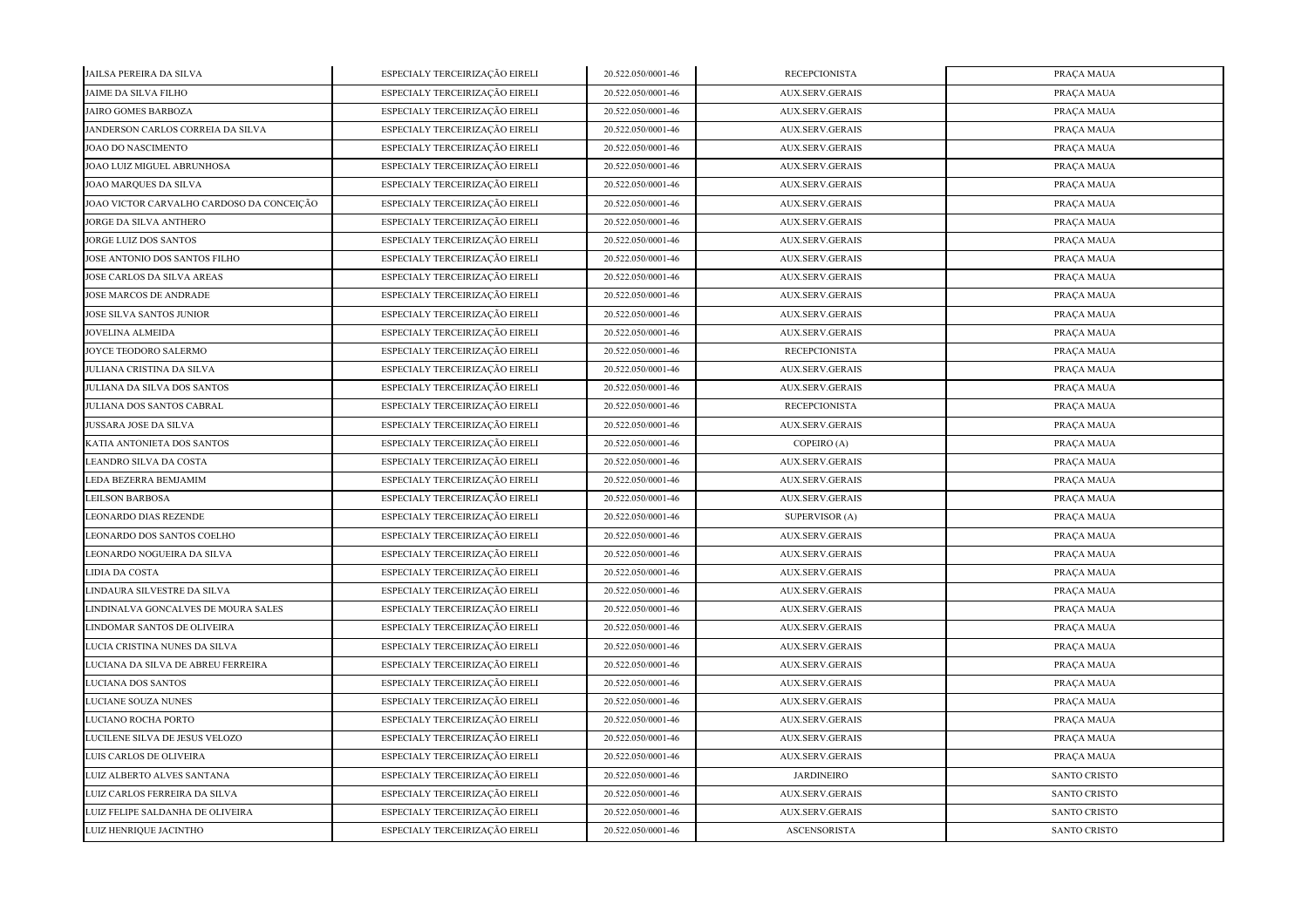| JAILSA PEREIRA DA SILVA                   | ESPECIALY TERCEIRIZAÇÃO EIRELI | 20.522.050/0001-46 | <b>RECEPCIONISTA</b>   | PRAÇA MAUA          |
|-------------------------------------------|--------------------------------|--------------------|------------------------|---------------------|
| JAIME DA SILVA FILHO                      | ESPECIALY TERCEIRIZAÇÃO EIRELI | 20.522.050/0001-46 | <b>AUX.SERV.GERAIS</b> | PRAÇA MAUA          |
| <b>JAIRO GOMES BARBOZA</b>                | ESPECIALY TERCEIRIZAÇÃO EIRELI | 20.522.050/0001-46 | <b>AUX.SERV.GERAIS</b> | PRAÇA MAUA          |
| JANDERSON CARLOS CORREIA DA SILVA         | ESPECIALY TERCEIRIZAÇÃO EIRELI | 20.522.050/0001-46 | <b>AUX.SERV.GERAIS</b> | PRAÇA MAUA          |
| JOAO DO NASCIMENTO                        | ESPECIALY TERCEIRIZAÇÃO EIRELI | 20.522.050/0001-46 | <b>AUX.SERV.GERAIS</b> | PRAÇA MAUA          |
| JOAO LUIZ MIGUEL ABRUNHOSA                | ESPECIALY TERCEIRIZAÇÃO EIRELI | 20.522.050/0001-46 | AUX.SERV.GERAIS        | PRAÇA MAUA          |
| JOAO MARQUES DA SILVA                     | ESPECIALY TERCEIRIZAÇÃO EIRELI | 20.522.050/0001-46 | AUX.SERV.GERAIS        | PRAÇA MAUA          |
| JOAO VICTOR CARVALHO CARDOSO DA CONCEIÇÃO | ESPECIALY TERCEIRIZAÇÃO EIRELI | 20.522.050/0001-46 | <b>AUX.SERV.GERAIS</b> | PRAÇA MAUA          |
| JORGE DA SILVA ANTHERO                    | ESPECIALY TERCEIRIZAÇÃO EIRELI | 20.522.050/0001-46 | <b>AUX.SERV.GERAIS</b> | PRAÇA MAUA          |
| JORGE LUIZ DOS SANTOS                     | ESPECIALY TERCEIRIZAÇÃO EIRELI | 20.522.050/0001-46 | <b>AUX.SERV.GERAIS</b> | PRAÇA MAUA          |
| JOSE ANTONIO DOS SANTOS FILHO             | ESPECIALY TERCEIRIZAÇÃO EIRELI | 20.522.050/0001-46 | AUX.SERV.GERAIS        | PRAÇA MAUA          |
| <b>JOSE CARLOS DA SILVA AREAS</b>         | ESPECIALY TERCEIRIZAÇÃO EIRELI | 20.522.050/0001-46 | <b>AUX.SERV.GERAIS</b> | PRAÇA MAUA          |
| JOSE MARCOS DE ANDRADE                    | ESPECIALY TERCEIRIZAÇÃO EIRELI | 20.522.050/0001-46 | <b>AUX.SERV.GERAIS</b> | PRAÇA MAUA          |
| JOSE SILVA SANTOS JUNIOR                  | ESPECIALY TERCEIRIZAÇÃO EIRELI | 20.522.050/0001-46 | <b>AUX.SERV.GERAIS</b> | PRAÇA MAUA          |
| <b>JOVELINA ALMEIDA</b>                   | ESPECIALY TERCEIRIZAÇÃO EIRELI | 20.522.050/0001-46 | <b>AUX.SERV.GERAIS</b> | PRAÇA MAUA          |
| JOYCE TEODORO SALERMO                     | ESPECIALY TERCEIRIZAÇÃO EIRELI | 20.522.050/0001-46 | <b>RECEPCIONISTA</b>   | PRAÇA MAUA          |
| JULIANA CRISTINA DA SILVA                 | ESPECIALY TERCEIRIZAÇÃO EIRELI | 20.522.050/0001-46 | <b>AUX.SERV.GERAIS</b> | PRAÇA MAUA          |
| JULIANA DA SILVA DOS SANTOS               | ESPECIALY TERCEIRIZAÇÃO EIRELI | 20.522.050/0001-46 | AUX.SERV.GERAIS        | PRAÇA MAUA          |
| JULIANA DOS SANTOS CABRAL                 | ESPECIALY TERCEIRIZAÇÃO EIRELI | 20.522.050/0001-46 | <b>RECEPCIONISTA</b>   | PRAÇA MAUA          |
| JUSSARA JOSE DA SILVA                     | ESPECIALY TERCEIRIZAÇÃO EIRELI | 20.522.050/0001-46 | <b>AUX.SERV.GERAIS</b> | PRAÇA MAUA          |
| KATIA ANTONIETA DOS SANTOS                | ESPECIALY TERCEIRIZAÇÃO EIRELI | 20.522.050/0001-46 | COPEIRO (A)            | PRAÇA MAUA          |
| LEANDRO SILVA DA COSTA                    | ESPECIALY TERCEIRIZAÇÃO EIRELI | 20.522.050/0001-46 | AUX.SERV.GERAIS        | PRAÇA MAUA          |
| LEDA BEZERRA BEMJAMIM                     | ESPECIALY TERCEIRIZAÇÃO EIRELI | 20.522.050/0001-46 | <b>AUX.SERV.GERAIS</b> | PRAÇA MAUA          |
| <b>LEILSON BARBOSA</b>                    | ESPECIALY TERCEIRIZAÇÃO EIRELI | 20.522.050/0001-46 | <b>AUX.SERV.GERAIS</b> | PRAÇA MAUA          |
| LEONARDO DIAS REZENDE                     | ESPECIALY TERCEIRIZAÇÃO EIRELI | 20.522.050/0001-46 | SUPERVISOR (A)         | PRAÇA MAUA          |
| LEONARDO DOS SANTOS COELHO                | ESPECIALY TERCEIRIZAÇÃO EIRELI | 20.522.050/0001-46 | <b>AUX.SERV.GERAIS</b> | PRAÇA MAUA          |
| LEONARDO NOGUEIRA DA SILVA                | ESPECIALY TERCEIRIZAÇÃO EIRELI | 20.522.050/0001-46 | <b>AUX.SERV.GERAIS</b> | PRAÇA MAUA          |
| LIDIA DA COSTA                            | ESPECIALY TERCEIRIZAÇÃO EIRELI | 20.522.050/0001-46 | <b>AUX.SERV.GERAIS</b> | PRAÇA MAUA          |
| LINDAURA SILVESTRE DA SILVA               | ESPECIALY TERCEIRIZAÇÃO EIRELI | 20.522.050/0001-46 | <b>AUX.SERV.GERAIS</b> | PRAÇA MAUA          |
| LINDINALVA GONCALVES DE MOURA SALES       | ESPECIALY TERCEIRIZAÇÃO EIRELI | 20.522.050/0001-46 | <b>AUX.SERV.GERAIS</b> | PRAÇA MAUA          |
| LINDOMAR SANTOS DE OLIVEIRA               | ESPECIALY TERCEIRIZAÇÃO EIRELI | 20.522.050/0001-46 | <b>AUX.SERV.GERAIS</b> | PRAÇA MAUA          |
| LUCIA CRISTINA NUNES DA SILVA             | ESPECIALY TERCEIRIZAÇÃO EIRELI | 20.522.050/0001-46 | <b>AUX.SERV.GERAIS</b> | PRAÇA MAUA          |
| LUCIANA DA SILVA DE ABREU FERREIRA        | ESPECIALY TERCEIRIZAÇÃO EIRELI | 20.522.050/0001-46 | <b>AUX.SERV.GERAIS</b> | PRAÇA MAUA          |
| LUCIANA DOS SANTOS                        | ESPECIALY TERCEIRIZAÇÃO EIRELI | 20.522.050/0001-46 | AUX.SERV.GERAIS        | PRAÇA MAUA          |
| LUCIANE SOUZA NUNES                       | ESPECIALY TERCEIRIZAÇÃO EIRELI | 20.522.050/0001-46 | AUX.SERV.GERAIS        | PRAÇA MAUA          |
| LUCIANO ROCHA PORTO                       | ESPECIALY TERCEIRIZAÇÃO EIRELI | 20.522.050/0001-46 | <b>AUX.SERV.GERAIS</b> | PRAÇA MAUA          |
| LUCILENE SILVA DE JESUS VELOZO            | ESPECIALY TERCEIRIZAÇÃO EIRELI | 20.522.050/0001-46 | <b>AUX.SERV.GERAIS</b> | PRAÇA MAUA          |
| LUIS CARLOS DE OLIVEIRA                   | ESPECIALY TERCEIRIZAÇÃO EIRELI | 20.522.050/0001-46 | <b>AUX.SERV.GERAIS</b> | PRAÇA MAUA          |
| LUIZ ALBERTO ALVES SANTANA                | ESPECIALY TERCEIRIZAÇÃO EIRELI | 20.522.050/0001-46 | <b>JARDINEIRO</b>      | <b>SANTO CRISTO</b> |
| LUIZ CARLOS FERREIRA DA SILVA             | ESPECIALY TERCEIRIZAÇÃO EIRELI | 20.522.050/0001-46 | AUX.SERV.GERAIS        | <b>SANTO CRISTO</b> |
| LUIZ FELIPE SALDANHA DE OLIVEIRA          | ESPECIALY TERCEIRIZAÇÃO EIRELI | 20.522.050/0001-46 | <b>AUX.SERV.GERAIS</b> | <b>SANTO CRISTO</b> |
| LUIZ HENRIQUE JACINTHO                    | ESPECIALY TERCEIRIZAÇÃO EIRELI | 20.522.050/0001-46 | <b>ASCENSORISTA</b>    | <b>SANTO CRISTO</b> |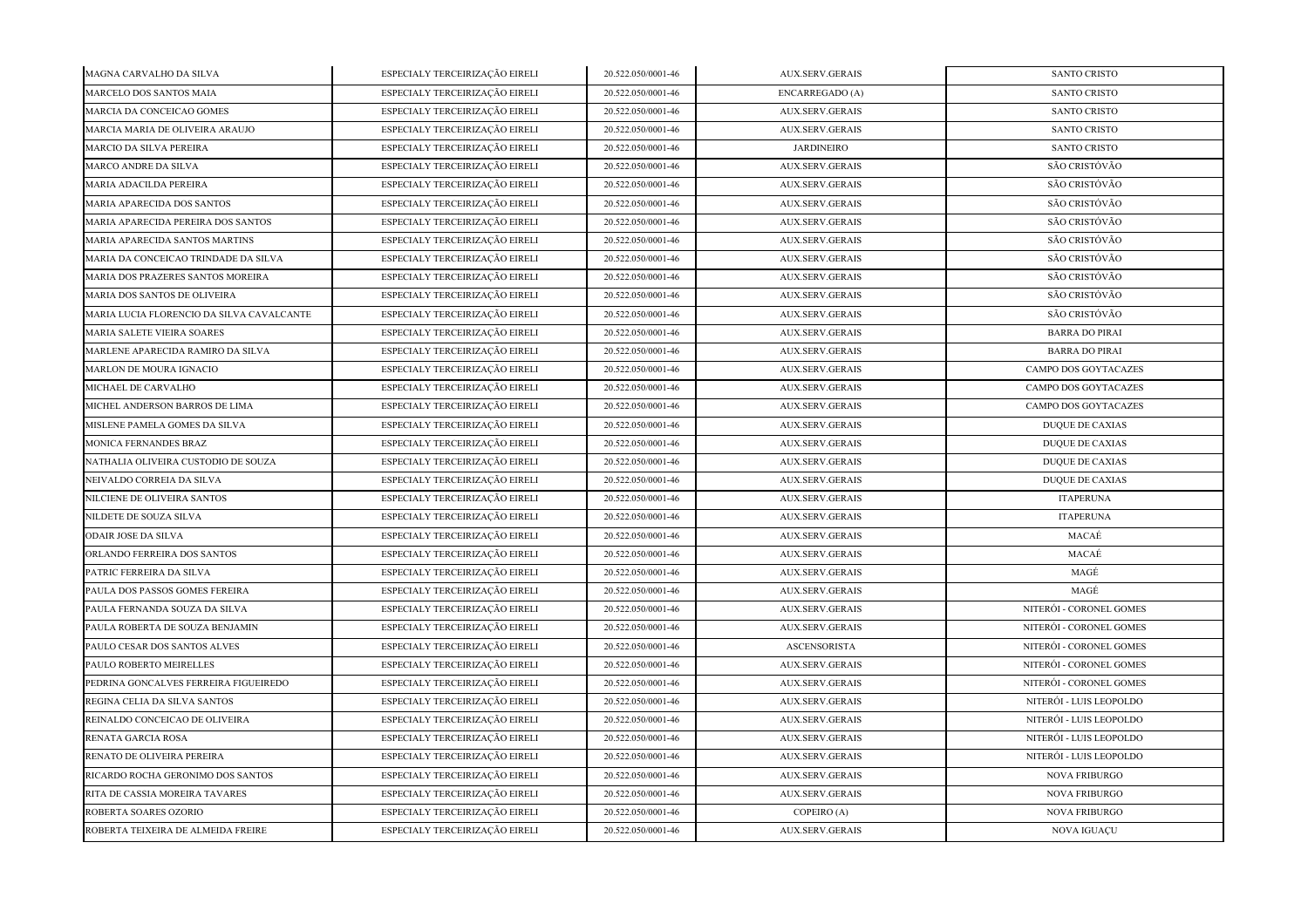| MAGNA CARVALHO DA SILVA                   | ESPECIALY TERCEIRIZAÇÃO EIRELI | 20.522.050/0001-46 | AUX.SERV.GERAIS        | <b>SANTO CRISTO</b>     |
|-------------------------------------------|--------------------------------|--------------------|------------------------|-------------------------|
| MARCELO DOS SANTOS MAIA                   | ESPECIALY TERCEIRIZAÇÃO EIRELI | 20.522.050/0001-46 | <b>ENCARREGADO</b> (A) | <b>SANTO CRISTO</b>     |
| MARCIA DA CONCEICAO GOMES                 | ESPECIALY TERCEIRIZAÇÃO EIRELI | 20.522.050/0001-46 | <b>AUX.SERV.GERAIS</b> | <b>SANTO CRISTO</b>     |
| MARCIA MARIA DE OLIVEIRA ARAUJO           | ESPECIALY TERCEIRIZAÇÃO EIRELI | 20.522.050/0001-46 | <b>AUX.SERV.GERAIS</b> | <b>SANTO CRISTO</b>     |
| MARCIO DA SILVA PEREIRA                   | ESPECIALY TERCEIRIZAÇÃO EIRELI | 20.522.050/0001-46 | <b>JARDINEIRO</b>      | <b>SANTO CRISTO</b>     |
| MARCO ANDRE DA SILVA                      | ESPECIALY TERCEIRIZAÇÃO EIRELI | 20.522.050/0001-46 | AUX.SERV.GERAIS        | SÃO CRISTÓVÃO           |
| MARIA ADACILDA PEREIRA                    | ESPECIALY TERCEIRIZAÇÃO EIRELI | 20.522.050/0001-46 | AUX.SERV.GERAIS        | SÃO CRISTÓVÃO           |
| MARIA APARECIDA DOS SANTOS                | ESPECIALY TERCEIRIZAÇÃO EIRELI | 20.522.050/0001-46 | <b>AUX.SERV.GERAIS</b> | SÃO CRISTÓVÃO           |
| MARIA APARECIDA PEREIRA DOS SANTOS        | ESPECIALY TERCEIRIZAÇÃO EIRELI | 20.522.050/0001-46 | AUX.SERV.GERAIS        | SÃO CRISTÓVÃO           |
| MARIA APARECIDA SANTOS MARTINS            | ESPECIALY TERCEIRIZAÇÃO EIRELI | 20.522.050/0001-46 | <b>AUX.SERV.GERAIS</b> | SÃO CRISTÓVÃO           |
| MARIA DA CONCEICAO TRINDADE DA SILVA      | ESPECIALY TERCEIRIZAÇÃO EIRELI | 20.522.050/0001-46 | <b>AUX.SERV.GERAIS</b> | SÃO CRISTÓVÃO           |
| MARIA DOS PRAZERES SANTOS MOREIRA         | ESPECIALY TERCEIRIZAÇÃO EIRELI | 20.522.050/0001-46 | <b>AUX.SERV.GERAIS</b> | SÃO CRISTÓVÃO           |
| <b>MARIA DOS SANTOS DE OLIVEIRA</b>       | ESPECIALY TERCEIRIZAÇÃO EIRELI | 20.522.050/0001-46 | <b>AUX.SERV.GERAIS</b> | SÃO CRISTÓVÃO           |
| MARIA LUCIA FLORENCIO DA SILVA CAVALCANTE | ESPECIALY TERCEIRIZAÇÃO EIRELI | 20.522.050/0001-46 | <b>AUX.SERV.GERAIS</b> | SÃO CRISTÓVÃO           |
| MARIA SALETE VIEIRA SOARES                | ESPECIALY TERCEIRIZAÇÃO EIRELI | 20.522.050/0001-46 | AUX.SERV.GERAIS        | <b>BARRA DO PIRAI</b>   |
| MARLENE APARECIDA RAMIRO DA SILVA         | ESPECIALY TERCEIRIZAÇÃO EIRELI | 20.522.050/0001-46 | AUX.SERV.GERAIS        | <b>BARRA DO PIRAI</b>   |
| MARLON DE MOURA IGNACIO                   | ESPECIALY TERCEIRIZAÇÃO EIRELI | 20.522.050/0001-46 | <b>AUX.SERV.GERAIS</b> | CAMPO DOS GOYTACAZES    |
| MICHAEL DE CARVALHO                       | ESPECIALY TERCEIRIZAÇÃO EIRELI | 20.522.050/0001-46 | <b>AUX.SERV.GERAIS</b> | CAMPO DOS GOYTACAZES    |
| MICHEL ANDERSON BARROS DE LIMA            | ESPECIALY TERCEIRIZAÇÃO EIRELI | 20.522.050/0001-46 | <b>AUX.SERV.GERAIS</b> | CAMPO DOS GOYTACAZES    |
| MISLENE PAMELA GOMES DA SILVA             | ESPECIALY TERCEIRIZAÇÃO EIRELI | 20.522.050/0001-46 | <b>AUX.SERV.GERAIS</b> | <b>DUQUE DE CAXIAS</b>  |
| MONICA FERNANDES BRAZ                     | ESPECIALY TERCEIRIZAÇÃO EIRELI | 20.522.050/0001-46 | AUX.SERV.GERAIS        | <b>DUQUE DE CAXIAS</b>  |
| NATHALIA OLIVEIRA CUSTODIO DE SOUZA       | ESPECIALY TERCEIRIZAÇÃO EIRELI | 20.522.050/0001-46 | AUX.SERV.GERAIS        | DUQUE DE CAXIAS         |
| NEIVALDO CORREIA DA SILVA                 | ESPECIALY TERCEIRIZAÇÃO EIRELI | 20.522.050/0001-46 | AUX.SERV.GERAIS        | <b>DUQUE DE CAXIAS</b>  |
| NILCIENE DE OLIVEIRA SANTOS               | ESPECIALY TERCEIRIZAÇÃO EIRELI | 20.522.050/0001-46 | <b>AUX.SERV.GERAIS</b> | <b>ITAPERUNA</b>        |
| NILDETE DE SOUZA SILVA                    | ESPECIALY TERCEIRIZAÇÃO EIRELI | 20.522.050/0001-46 | <b>AUX.SERV.GERAIS</b> | <b>ITAPERUNA</b>        |
| <b>ODAIR JOSE DA SILVA</b>                | ESPECIALY TERCEIRIZAÇÃO EIRELI | 20.522.050/0001-46 | <b>AUX.SERV.GERAIS</b> | MACAÉ                   |
| ORLANDO FERREIRA DOS SANTOS               | ESPECIALY TERCEIRIZAÇÃO EIRELI | 20.522.050/0001-46 | <b>AUX.SERV.GERAIS</b> | MACAÉ                   |
| PATRIC FERREIRA DA SILVA                  | ESPECIALY TERCEIRIZAÇÃO EIRELI | 20.522.050/0001-46 | AUX.SERV.GERAIS        | MAGÉ                    |
| PAULA DOS PASSOS GOMES FEREIRA            | ESPECIALY TERCEIRIZAÇÃO EIRELI | 20.522.050/0001-46 | <b>AUX.SERV.GERAIS</b> | MAGÉ                    |
| PAULA FERNANDA SOUZA DA SILVA             | ESPECIALY TERCEIRIZAÇÃO EIRELI | 20.522.050/0001-46 | AUX.SERV.GERAIS        | NITERÓI - CORONEL GOMES |
| PAULA ROBERTA DE SOUZA BENJAMIN           | ESPECIALY TERCEIRIZAÇÃO EIRELI | 20.522.050/0001-46 | <b>AUX.SERV.GERAIS</b> | NITERÓI - CORONEL GOMES |
| PAULO CESAR DOS SANTOS ALVES              | ESPECIALY TERCEIRIZAÇÃO EIRELI | 20.522.050/0001-46 | <b>ASCENSORISTA</b>    | NITERÓI - CORONEL GOMES |
| PAULO ROBERTO MEIRELLES                   | ESPECIALY TERCEIRIZAÇÃO EIRELI | 20.522.050/0001-46 | <b>AUX.SERV.GERAIS</b> | NITERÓI - CORONEL GOMES |
| PEDRINA GONCALVES FERREIRA FIGUEIREDO     | ESPECIALY TERCEIRIZAÇÃO EIRELI | 20.522.050/0001-46 | <b>AUX.SERV.GERAIS</b> | NITERÓI - CORONEL GOMES |
| REGINA CELIA DA SILVA SANTOS              | ESPECIALY TERCEIRIZAÇÃO EIRELI | 20.522.050/0001-46 | <b>AUX.SERV.GERAIS</b> | NITERÓI - LUIS LEOPOLDO |
| REINALDO CONCEICAO DE OLIVEIRA            | ESPECIALY TERCEIRIZAÇÃO EIRELI | 20.522.050/0001-46 | <b>AUX.SERV.GERAIS</b> | NITERÓI - LUIS LEOPOLDO |
| RENATA GARCIA ROSA                        | ESPECIALY TERCEIRIZAÇÃO EIRELI | 20.522.050/0001-46 | AUX.SERV.GERAIS        | NITERÓI - LUIS LEOPOLDO |
| RENATO DE OLIVEIRA PEREIRA                | ESPECIALY TERCEIRIZAÇÃO EIRELI | 20.522.050/0001-46 | <b>AUX.SERV.GERAIS</b> | NITERÓI - LUIS LEOPOLDO |
| RICARDO ROCHA GERONIMO DOS SANTOS         | ESPECIALY TERCEIRIZAÇÃO EIRELI | 20.522.050/0001-46 | <b>AUX.SERV.GERAIS</b> | <b>NOVA FRIBURGO</b>    |
| RITA DE CASSIA MOREIRA TAVARES            | ESPECIALY TERCEIRIZAÇÃO EIRELI | 20.522.050/0001-46 | AUX.SERV.GERAIS        | <b>NOVA FRIBURGO</b>    |
| ROBERTA SOARES OZORIO                     | ESPECIALY TERCEIRIZAÇÃO EIRELI | 20.522.050/0001-46 | COPEIRO (A)            | <b>NOVA FRIBURGO</b>    |
| ROBERTA TEIXEIRA DE ALMEIDA FREIRE        | ESPECIALY TERCEIRIZAÇÃO EIRELI | 20.522.050/0001-46 | <b>AUX.SERV.GERAIS</b> | <b>NOVA IGUAÇU</b>      |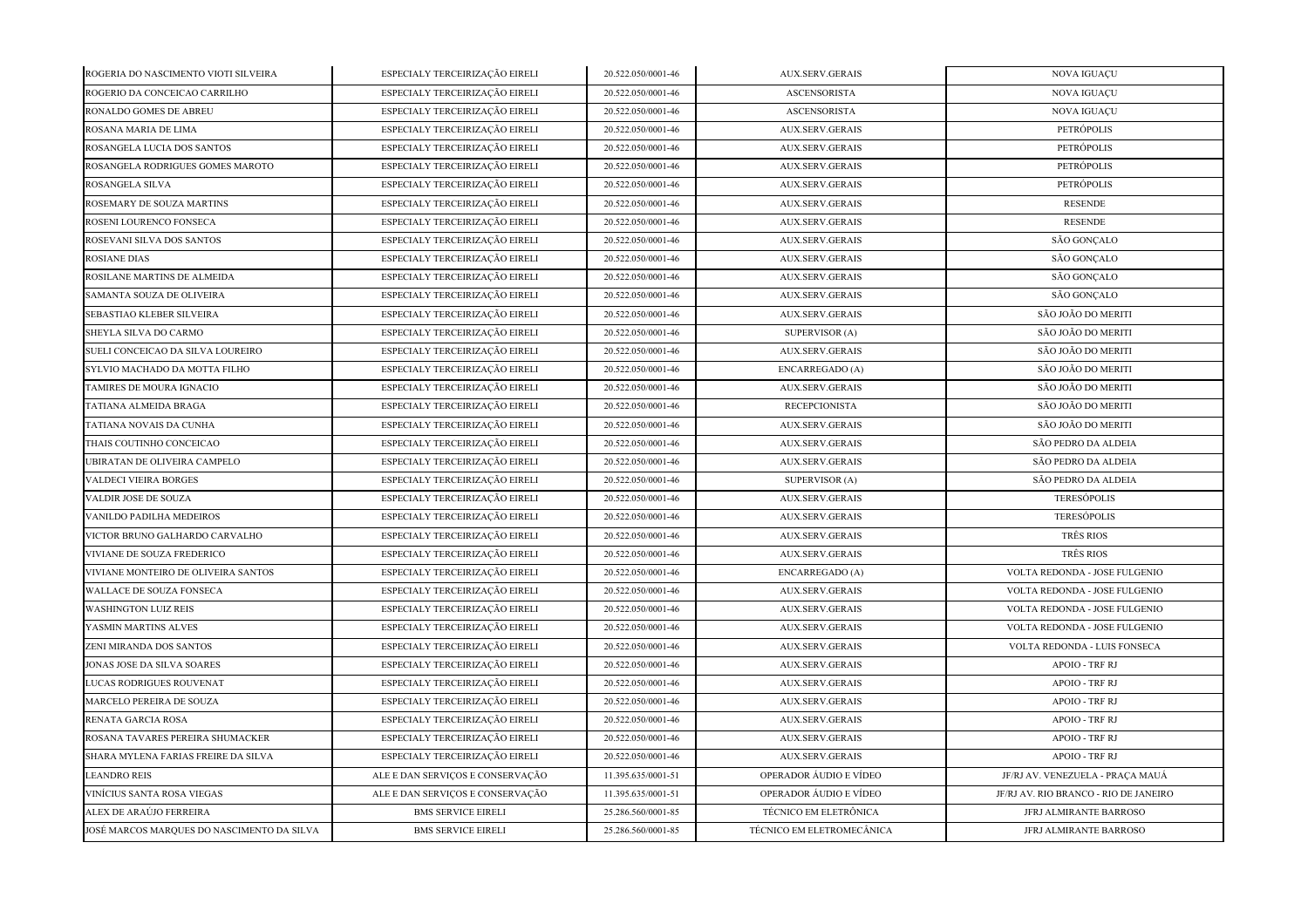| ROGERIA DO NASCIMENTO VIOTI SILVEIRA       | ESPECIALY TERCEIRIZAÇÃO EIRELI   | 20.522.050/0001-46 | AUX.SERV.GERAIS           | NOVA IGUAÇU                           |
|--------------------------------------------|----------------------------------|--------------------|---------------------------|---------------------------------------|
| ROGERIO DA CONCEICAO CARRILHO              | ESPECIALY TERCEIRIZAÇÃO EIRELI   | 20.522.050/0001-46 | <b>ASCENSORISTA</b>       | NOVA IGUAÇU                           |
| RONALDO GOMES DE ABREU                     | ESPECIALY TERCEIRIZAÇÃO EIRELI   | 20.522.050/0001-46 | <b>ASCENSORISTA</b>       | <b>NOVA IGUAÇU</b>                    |
| ROSANA MARIA DE LIMA                       | ESPECIALY TERCEIRIZAÇÃO EIRELI   | 20.522.050/0001-46 | AUX.SERV.GERAIS           | PETRÓPOLIS                            |
| ROSANGELA LUCIA DOS SANTOS                 | ESPECIALY TERCEIRIZAÇÃO EIRELI   | 20.522.050/0001-46 | <b>AUX.SERV.GERAIS</b>    | PETRÓPOLIS                            |
| ROSANGELA RODRIGUES GOMES MAROTO           | ESPECIALY TERCEIRIZAÇÃO EIRELI   | 20.522.050/0001-46 | <b>AUX.SERV.GERAIS</b>    | PETRÓPOLIS                            |
| ROSANGELA SILVA                            | ESPECIALY TERCEIRIZAÇÃO EIRELI   | 20.522.050/0001-46 | <b>AUX.SERV.GERAIS</b>    | PETRÓPOLIS                            |
| ROSEMARY DE SOUZA MARTINS                  | ESPECIALY TERCEIRIZAÇÃO EIRELI   | 20.522.050/0001-46 | <b>AUX.SERV.GERAIS</b>    | <b>RESENDE</b>                        |
| ROSENI LOURENCO FONSECA                    | ESPECIALY TERCEIRIZAÇÃO EIRELI   | 20.522.050/0001-46 | <b>AUX.SERV.GERAIS</b>    | <b>RESENDE</b>                        |
| ROSEVANI SILVA DOS SANTOS                  | ESPECIALY TERCEIRIZAÇÃO EIRELI   | 20.522.050/0001-46 | <b>AUX.SERV.GERAIS</b>    | SÃO GONÇALO                           |
| <b>ROSIANE DIAS</b>                        | ESPECIALY TERCEIRIZAÇÃO EIRELI   | 20.522.050/0001-46 | AUX.SERV.GERAIS           | SÃO GONÇALO                           |
| ROSILANE MARTINS DE ALMEIDA                | ESPECIALY TERCEIRIZAÇÃO EIRELI   | 20.522.050/0001-46 | AUX.SERV.GERAIS           | SÃO GONÇALO                           |
| SAMANTA SOUZA DE OLIVEIRA                  | ESPECIALY TERCEIRIZAÇÃO EIRELI   | 20.522.050/0001-46 | <b>AUX.SERV.GERAIS</b>    | SÃO GONÇALO                           |
| SEBASTIAO KLEBER SILVEIRA                  | ESPECIALY TERCEIRIZAÇÃO EIRELI   | 20.522.050/0001-46 | <b>AUX.SERV.GERAIS</b>    | SÃO JOÃO DO MERITI                    |
| SHEYLA SILVA DO CARMO                      | ESPECIALY TERCEIRIZAÇÃO EIRELI   | 20.522.050/0001-46 | SUPERVISOR (A)            | SÃO JOÃO DO MERITI                    |
| SUELI CONCEICAO DA SILVA LOUREIRO          | ESPECIALY TERCEIRIZAÇÃO EIRELI   | 20.522.050/0001-46 | <b>AUX.SERV.GERAIS</b>    | SÃO JOÃO DO MERITI                    |
| SYLVIO MACHADO DA MOTTA FILHO              | ESPECIALY TERCEIRIZAÇÃO EIRELI   | 20.522.050/0001-46 | ENCARREGADO (A)           | SÃO JOÃO DO MERITI                    |
| TAMIRES DE MOURA IGNACIO                   | ESPECIALY TERCEIRIZAÇÃO EIRELI   | 20.522.050/0001-46 | <b>AUX.SERV.GERAIS</b>    | SÃO JOÃO DO MERITI                    |
| TATIANA ALMEIDA BRAGA                      | ESPECIALY TERCEIRIZAÇÃO EIRELI   | 20.522.050/0001-46 | <b>RECEPCIONISTA</b>      | SÃO JOÃO DO MERITI                    |
| TATIANA NOVAIS DA CUNHA                    | ESPECIALY TERCEIRIZAÇÃO EIRELI   | 20.522.050/0001-46 | <b>AUX.SERV.GERAIS</b>    | SÃO JOÃO DO MERITI                    |
| THAIS COUTINHO CONCEICAO                   | ESPECIALY TERCEIRIZAÇÃO EIRELI   | 20.522.050/0001-46 | AUX.SERV.GERAIS           | SÃO PEDRO DA ALDEIA                   |
| UBIRATAN DE OLIVEIRA CAMPELO               | ESPECIALY TERCEIRIZAÇÃO EIRELI   | 20.522.050/0001-46 | <b>AUX.SERV.GERAIS</b>    | SÃO PEDRO DA ALDEIA                   |
| VALDECI VIEIRA BORGES                      | ESPECIALY TERCEIRIZAÇÃO EIRELI   | 20.522.050/0001-46 | <b>SUPERVISOR (A)</b>     | SÃO PEDRO DA ALDEIA                   |
| VALDIR JOSE DE SOUZA                       | ESPECIALY TERCEIRIZAÇÃO EIRELI   | 20.522.050/0001-46 | <b>AUX.SERV.GERAIS</b>    | <b>TERESÓPOLIS</b>                    |
| VANILDO PADILHA MEDEIROS                   | ESPECIALY TERCEIRIZAÇÃO EIRELI   | 20.522.050/0001-46 | <b>AUX.SERV.GERAIS</b>    | <b>TERESÓPOLIS</b>                    |
| VICTOR BRUNO GALHARDO CARVALHO             | ESPECIALY TERCEIRIZAÇÃO EIRELI   | 20.522.050/0001-46 | <b>AUX.SERV.GERAIS</b>    | <b>TRÊS RIOS</b>                      |
| VIVIANE DE SOUZA FREDERICO                 | ESPECIALY TERCEIRIZAÇÃO EIRELI   | 20.522.050/0001-46 | <b>AUX.SERV.GERAIS</b>    | <b>TRÊS RIOS</b>                      |
| VIVIANE MONTEIRO DE OLIVEIRA SANTOS        | ESPECIALY TERCEIRIZAÇÃO EIRELI   | 20.522.050/0001-46 | ENCARREGADO (A)           | VOLTA REDONDA - JOSE FULGENIO         |
| WALLACE DE SOUZA FONSECA                   | ESPECIALY TERCEIRIZAÇÃO EIRELI   | 20.522.050/0001-46 | <b>AUX.SERV.GERAIS</b>    | VOLTA REDONDA - JOSE FULGENIO         |
| <b>WASHINGTON LUIZ REIS</b>                | ESPECIALY TERCEIRIZAÇÃO EIRELI   | 20.522.050/0001-46 | <b>AUX.SERV.GERAIS</b>    | VOLTA REDONDA - JOSE FULGENIO         |
| YASMIN MARTINS ALVES                       | ESPECIALY TERCEIRIZAÇÃO EIRELI   | 20.522.050/0001-46 | <b>AUX.SERV.GERAIS</b>    | VOLTA REDONDA - JOSE FULGENIO         |
| ZENI MIRANDA DOS SANTOS                    | ESPECIALY TERCEIRIZAÇÃO EIRELI   | 20.522.050/0001-46 | <b>AUX.SERV.GERAIS</b>    | VOLTA REDONDA - LUIS FONSECA          |
| <b>JONAS JOSE DA SILVA SOARES</b>          | ESPECIALY TERCEIRIZAÇÃO EIRELI   | 20.522.050/0001-46 | <b>AUX.SERV.GERAIS</b>    | APOIO - TRF RJ                        |
| LUCAS RODRIGUES ROUVENAT                   | ESPECIALY TERCEIRIZAÇÃO EIRELI   | 20.522.050/0001-46 | <b>AUX.SERV.GERAIS</b>    | APOIO - TRF RJ                        |
| MARCELO PEREIRA DE SOUZA                   | ESPECIALY TERCEIRIZAÇÃO EIRELI   | 20.522.050/0001-46 | <b>AUX.SERV.GERAIS</b>    | APOIO - TRF RJ                        |
| RENATA GARCIA ROSA                         | ESPECIALY TERCEIRIZAÇÃO EIRELI   | 20.522.050/0001-46 | <b>AUX.SERV.GERAIS</b>    | APOIO - TRF RJ                        |
| ROSANA TAVARES PEREIRA SHUMACKER           | ESPECIALY TERCEIRIZAÇÃO EIRELI   | 20.522.050/0001-46 | <b>AUX.SERV.GERAIS</b>    | APOIO - TRF RJ                        |
| SHARA MYLENA FARIAS FREIRE DA SILVA        | ESPECIALY TERCEIRIZAÇÃO EIRELI   | 20.522.050/0001-46 | <b>AUX.SERV.GERAIS</b>    | APOIO - TRF RJ                        |
| <b>LEANDRO REIS</b>                        | ALE E DAN SERVIÇOS E CONSERVAÇÃO | 11.395.635/0001-51 | OPERADOR ÁUDIO E VÍDEO    | JF/RJ AV. VENEZUELA - PRACA MAUÁ      |
| VINÍCIUS SANTA ROSA VIEGAS                 | ALE E DAN SERVIÇOS E CONSERVAÇÃO | 11.395.635/0001-51 | OPERADOR ÁUDIO E VÍDEO    | JF/RJ AV. RIO BRANCO - RIO DE JANEIRO |
| ALEX DE ARAÚJO FERREIRA                    | <b>BMS SERVICE EIRELI</b>        | 25.286.560/0001-85 | TÉCNICO EM ELETRÔNICA     | JFRJ ALMIRANTE BARROSO                |
| JOSÉ MARCOS MARQUES DO NASCIMENTO DA SILVA | <b>BMS SERVICE EIRELI</b>        | 25.286.560/0001-85 | TÉCNICO EM ELETROMECÂNICA | JFRJ ALMIRANTE BARROSO                |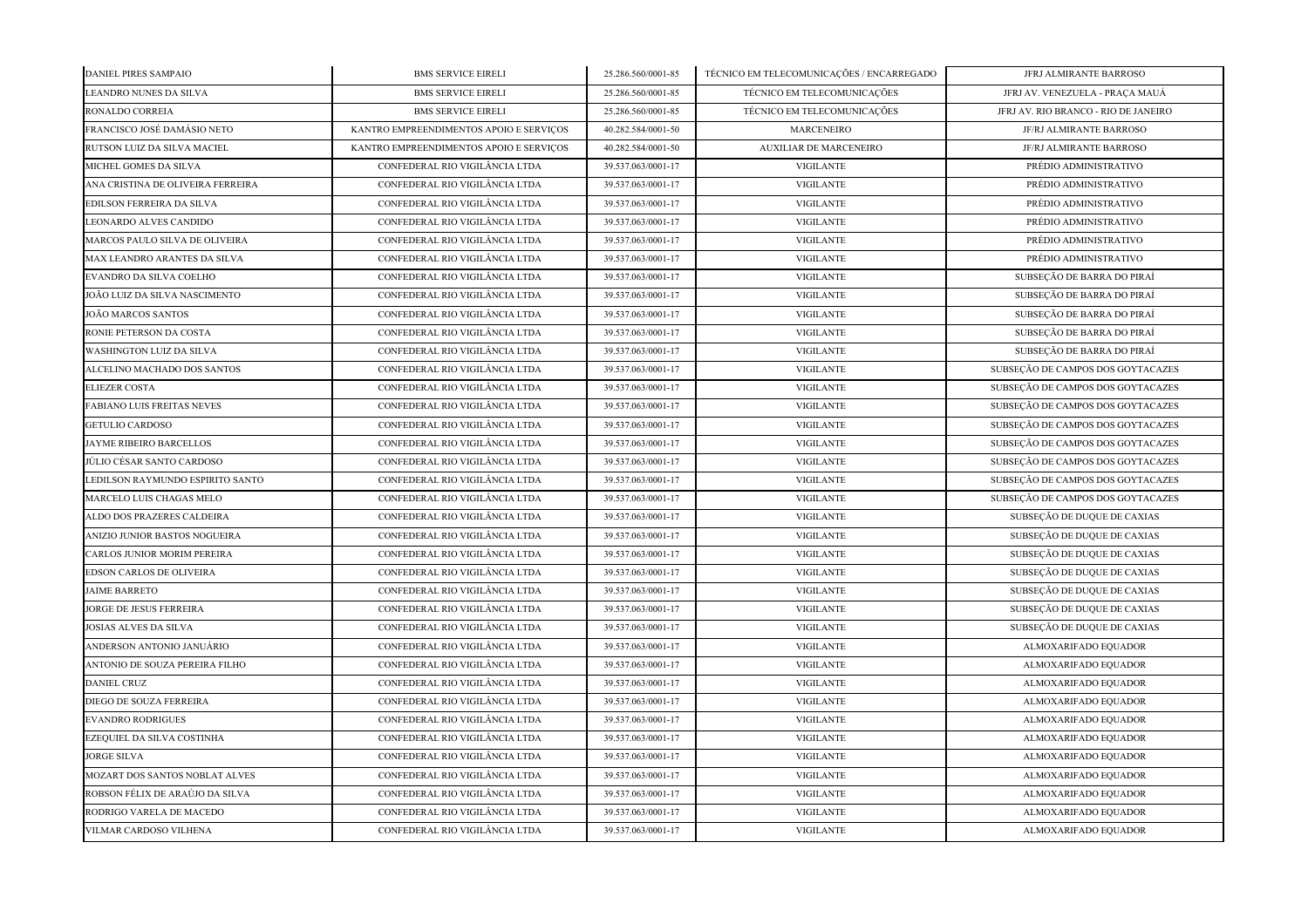| DANIEL PIRES SAMPAIO              | <b>BMS SERVICE EIRELI</b>               | 25.286.560/0001-85 | TÉCNICO EM TELECOMUNICAÇÕES / ENCARREGADO | JFRJ ALMIRANTE BARROSO               |
|-----------------------------------|-----------------------------------------|--------------------|-------------------------------------------|--------------------------------------|
| LEANDRO NUNES DA SILVA            | <b>BMS SERVICE EIRELI</b>               | 25.286.560/0001-85 | TÉCNICO EM TELECOMUNICAÇÕES               | JFRJ AV. VENEZUELA - PRAÇA MAUÁ      |
| RONALDO CORREIA                   | <b>BMS SERVICE EIRELI</b>               | 25.286.560/0001-85 | TÉCNICO EM TELECOMUNICAÇÕES               | JFRJ AV. RIO BRANCO - RIO DE JANEIRO |
| FRANCISCO JOSÉ DAMÁSIO NETO       | KANTRO EMPREENDIMENTOS APOIO E SERVIÇOS | 40.282.584/0001-50 | <b>MARCENEIRO</b>                         | JF/RJ ALMIRANTE BARROSO              |
| RUTSON LUIZ DA SILVA MACIEL       | KANTRO EMPREENDIMENTOS APOIO E SERVIÇOS | 40.282.584/0001-50 | <b>AUXILIAR DE MARCENEIRO</b>             | JF/RJ ALMIRANTE BARROSO              |
| MICHEL GOMES DA SILVA             | CONFEDERAL RIO VIGILÂNCIA LTDA          | 39.537.063/0001-17 | <b>VIGILANTE</b>                          | PRÉDIO ADMINISTRATIVO                |
| ANA CRISTINA DE OLIVEIRA FERREIRA | CONFEDERAL RIO VIGILÂNCIA LTDA          | 39.537.063/0001-17 | <b>VIGILANTE</b>                          | PRÉDIO ADMINISTRATIVO                |
| EDILSON FERREIRA DA SILVA         | CONFEDERAL RIO VIGILÂNCIA LTDA          | 39.537.063/0001-17 | <b>VIGILANTE</b>                          | PRÉDIO ADMINISTRATIVO                |
| LEONARDO ALVES CANDIDO            | CONFEDERAL RIO VIGILÂNCIA LTDA          | 39.537.063/0001-17 | <b>VIGILANTE</b>                          | PRÉDIO ADMINISTRATIVO                |
| MARCOS PAULO SILVA DE OLIVEIRA    | CONFEDERAL RIO VIGILÂNCIA LTDA          | 39.537.063/0001-17 | <b>VIGILANTE</b>                          | PRÉDIO ADMINISTRATIVO                |
| MAX LEANDRO ARANTES DA SILVA      | CONFEDERAL RIO VIGILÂNCIA LTDA          | 39.537.063/0001-17 | <b>VIGILANTE</b>                          | PRÉDIO ADMINISTRATIVO                |
| EVANDRO DA SILVA COELHO           | CONFEDERAL RIO VIGILÂNCIA LTDA          | 39.537.063/0001-17 | <b>VIGILANTE</b>                          | SUBSEÇÃO DE BARRA DO PIRAÍ           |
| JOÃO LUIZ DA SILVA NASCIMENTO     | CONFEDERAL RIO VIGILÂNCIA LTDA          | 39.537.063/0001-17 | <b>VIGILANTE</b>                          | SUBSEÇÃO DE BARRA DO PIRAÍ           |
| JOÃO MARCOS SANTOS                | CONFEDERAL RIO VIGILÂNCIA LTDA          | 39.537.063/0001-17 | <b>VIGILANTE</b>                          | SUBSEÇÃO DE BARRA DO PIRAÍ           |
| RONIE PETERSON DA COSTA           | CONFEDERAL RIO VIGILÂNCIA LTDA          | 39.537.063/0001-17 | <b>VIGILANTE</b>                          | SUBSEÇÃO DE BARRA DO PIRAÍ           |
| WASHINGTON LUIZ DA SILVA          | CONFEDERAL RIO VIGILÂNCIA LTDA          | 39.537.063/0001-17 | <b>VIGILANTE</b>                          | SUBSEÇÃO DE BARRA DO PIRAÍ           |
| ALCELINO MACHADO DOS SANTOS       | CONFEDERAL RIO VIGILÂNCIA LTDA          | 39.537.063/0001-17 | <b>VIGILANTE</b>                          | SUBSEÇÃO DE CAMPOS DOS GOYTACAZES    |
| <b>ELIEZER COSTA</b>              | CONFEDERAL RIO VIGILÂNCIA LTDA          | 39.537.063/0001-17 | <b>VIGILANTE</b>                          | SUBSEÇÃO DE CAMPOS DOS GOYTACAZES    |
| FABIANO LUIS FREITAS NEVES        | CONFEDERAL RIO VIGILÂNCIA LTDA          | 39.537.063/0001-17 | <b>VIGILANTE</b>                          | SUBSEÇÃO DE CAMPOS DOS GOYTACAZES    |
| <b>GETULIO CARDOSO</b>            | CONFEDERAL RIO VIGILÂNCIA LTDA          | 39.537.063/0001-17 | <b>VIGILANTE</b>                          | SUBSEÇÃO DE CAMPOS DOS GOYTACAZES    |
| JAYME RIBEIRO BARCELLOS           | CONFEDERAL RIO VIGILÂNCIA LTDA          | 39.537.063/0001-17 | <b>VIGILANTE</b>                          | SUBSEÇÃO DE CAMPOS DOS GOYTACAZES    |
| JÚLIO CÉSAR SANTO CARDOSO         | CONFEDERAL RIO VIGILÂNCIA LTDA          | 39.537.063/0001-17 | <b>VIGILANTE</b>                          | SUBSEÇÃO DE CAMPOS DOS GOYTACAZES    |
| LEDILSON RAYMUNDO ESPIRITO SANTO  | CONFEDERAL RIO VIGILÂNCIA LTDA          | 39.537.063/0001-17 | <b>VIGILANTE</b>                          | SUBSEÇÃO DE CAMPOS DOS GOYTACAZES    |
| MARCELO LUIS CHAGAS MELO          | CONFEDERAL RIO VIGILÂNCIA LTDA          | 39.537.063/0001-17 | <b>VIGILANTE</b>                          | SUBSEÇÃO DE CAMPOS DOS GOYTACAZES    |
| ALDO DOS PRAZERES CALDEIRA        | CONFEDERAL RIO VIGILÂNCIA LTDA          | 39.537.063/0001-17 | <b>VIGILANTE</b>                          | SUBSEÇÃO DE DUQUE DE CAXIAS          |
| ANIZIO JUNIOR BASTOS NOGUEIRA     | CONFEDERAL RIO VIGILÂNCIA LTDA          | 39.537.063/0001-17 | <b>VIGILANTE</b>                          | SUBSEÇÃO DE DUQUE DE CAXIAS          |
| CARLOS JUNIOR MORIM PEREIRA       | CONFEDERAL RIO VIGILÂNCIA LTDA          | 39.537.063/0001-17 | <b>VIGILANTE</b>                          | SUBSEÇÃO DE DUQUE DE CAXIAS          |
| EDSON CARLOS DE OLIVEIRA          | CONFEDERAL RIO VIGILÂNCIA LTDA          | 39.537.063/0001-17 | <b>VIGILANTE</b>                          | SUBSEÇÃO DE DUQUE DE CAXIAS          |
| <b>JAIME BARRETO</b>              | CONFEDERAL RIO VIGILÂNCIA LTDA          | 39.537.063/0001-17 | <b>VIGILANTE</b>                          | SUBSEÇÃO DE DUQUE DE CAXIAS          |
| JORGE DE JESUS FERREIRA           | CONFEDERAL RIO VIGILÂNCIA LTDA          | 39.537.063/0001-17 | <b>VIGILANTE</b>                          | SUBSEÇÃO DE DUQUE DE CAXIAS          |
| <b>JOSIAS ALVES DA SILVA</b>      | CONFEDERAL RIO VIGILÂNCIA LTDA          | 39.537.063/0001-17 | <b>VIGILANTE</b>                          | SUBSEÇÃO DE DUQUE DE CAXIAS          |
| ANDERSON ANTONIO JANUÁRIO         | CONFEDERAL RIO VIGILÂNCIA LTDA          | 39.537.063/0001-17 | <b>VIGILANTE</b>                          | ALMOXARIFADO EQUADOR                 |
| ANTONIO DE SOUZA PEREIRA FILHO    | CONFEDERAL RIO VIGILÂNCIA LTDA          | 39.537.063/0001-17 | <b>VIGILANTE</b>                          | ALMOXARIFADO EQUADOR                 |
| <b>DANIEL CRUZ</b>                | CONFEDERAL RIO VIGILÂNCIA LTDA          | 39.537.063/0001-17 | <b>VIGILANTE</b>                          | ALMOXARIFADO EQUADOR                 |
| DIEGO DE SOUZA FERREIRA           | CONFEDERAL RIO VIGILÂNCIA LTDA          | 39.537.063/0001-17 | <b>VIGILANTE</b>                          | ALMOXARIFADO EQUADOR                 |
| <b>EVANDRO RODRIGUES</b>          | CONFEDERAL RIO VIGILÂNCIA LTDA          | 39.537.063/0001-17 | <b>VIGILANTE</b>                          | ALMOXARIFADO EQUADOR                 |
| EZEQUIEL DA SILVA COSTINHA        | CONFEDERAL RIO VIGILÂNCIA LTDA          | 39.537.063/0001-17 | <b>VIGILANTE</b>                          | ALMOXARIFADO EQUADOR                 |
| <b>JORGE SILVA</b>                | CONFEDERAL RIO VIGILÂNCIA LTDA          | 39.537.063/0001-17 | <b>VIGILANTE</b>                          | ALMOXARIFADO EQUADOR                 |
| MOZART DOS SANTOS NOBLAT ALVES    | CONFEDERAL RIO VIGILÂNCIA LTDA          | 39.537.063/0001-17 | <b>VIGILANTE</b>                          | ALMOXARIFADO EQUADOR                 |
| ROBSON FÉLIX DE ARAÚJO DA SILVA   | CONFEDERAL RIO VIGILÂNCIA LTDA          | 39.537.063/0001-17 | <b>VIGILANTE</b>                          | ALMOXARIFADO EQUADOR                 |
| RODRIGO VARELA DE MACEDO          | CONFEDERAL RIO VIGILÂNCIA LTDA          | 39.537.063/0001-17 | <b>VIGILANTE</b>                          | ALMOXARIFADO EQUADOR                 |
| VILMAR CARDOSO VILHENA            | CONFEDERAL RIO VIGILÂNCIA LTDA          | 39.537.063/0001-17 | <b>VIGILANTE</b>                          | ALMOXARIFADO EQUADOR                 |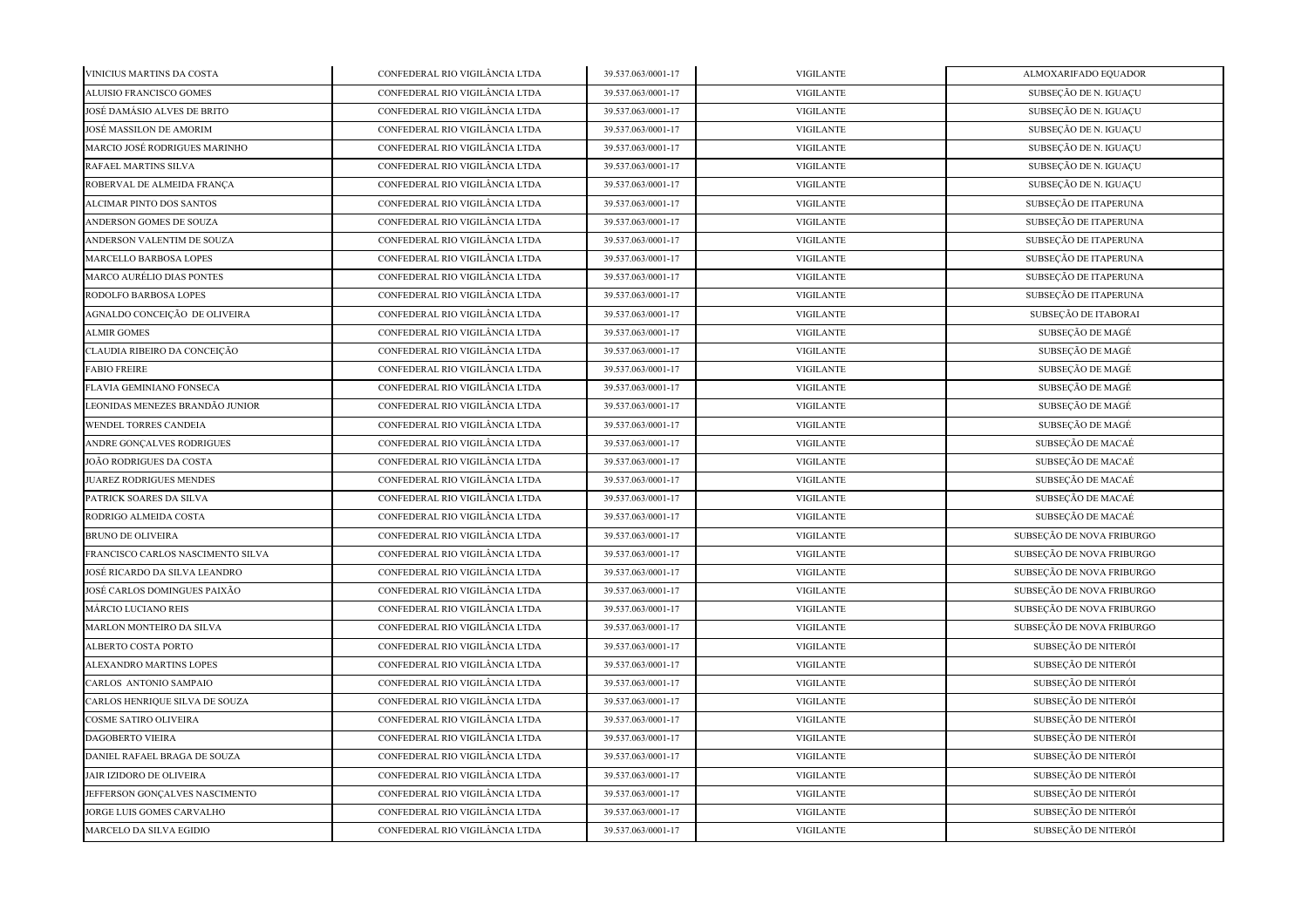| VINICIUS MARTINS DA COSTA         | CONFEDERAL RIO VIGILÂNCIA LTDA | 39.537.063/0001-17 | <b>VIGILANTE</b> | ALMOXARIFADO EQUADOR      |
|-----------------------------------|--------------------------------|--------------------|------------------|---------------------------|
| ALUISIO FRANCISCO GOMES           | CONFEDERAL RIO VIGILÂNCIA LTDA | 39.537.063/0001-17 | <b>VIGILANTE</b> | SUBSEÇÃO DE N. IGUAÇU     |
| JOSÉ DAMÁSIO ALVES DE BRITO       | CONFEDERAL RIO VIGILÂNCIA LTDA | 39.537.063/0001-17 | <b>VIGILANTE</b> | SUBSEÇÃO DE N. IGUAÇU     |
| JOSÉ MASSILON DE AMORIM           | CONFEDERAL RIO VIGILÂNCIA LTDA | 39.537.063/0001-17 | <b>VIGILANTE</b> | SUBSEÇÃO DE N. IGUAÇU     |
| MARCIO JOSÉ RODRIGUES MARINHO     | CONFEDERAL RIO VIGILÂNCIA LTDA | 39.537.063/0001-17 | <b>VIGILANTE</b> | SUBSEÇÃO DE N. IGUAÇU     |
| RAFAEL MARTINS SILVA              | CONFEDERAL RIO VIGILÂNCIA LTDA | 39.537.063/0001-17 | <b>VIGILANTE</b> | SUBSEÇÃO DE N. IGUAÇU     |
| ROBERVAL DE ALMEIDA FRANÇA        | CONFEDERAL RIO VIGILÂNCIA LTDA | 39.537.063/0001-17 | <b>VIGILANTE</b> | SUBSEÇÃO DE N. IGUAÇU     |
| ALCIMAR PINTO DOS SANTOS          | CONFEDERAL RIO VIGILÂNCIA LTDA | 39.537.063/0001-17 | <b>VIGILANTE</b> | SUBSEÇÃO DE ITAPERUNA     |
| ANDERSON GOMES DE SOUZA           | CONFEDERAL RIO VIGILÂNCIA LTDA | 39.537.063/0001-17 | <b>VIGILANTE</b> | SUBSEÇÃO DE ITAPERUNA     |
| ANDERSON VALENTIM DE SOUZA        | CONFEDERAL RIO VIGILÂNCIA LTDA | 39.537.063/0001-17 | <b>VIGILANTE</b> | SUBSEÇÃO DE ITAPERUNA     |
| MARCELLO BARBOSA LOPES            | CONFEDERAL RIO VIGILÂNCIA LTDA | 39.537.063/0001-17 | <b>VIGILANTE</b> | SUBSEÇÃO DE ITAPERUNA     |
| MARCO AURÉLIO DIAS PONTES         | CONFEDERAL RIO VIGILÂNCIA LTDA | 39.537.063/0001-17 | <b>VIGILANTE</b> | SUBSEÇÃO DE ITAPERUNA     |
| RODOLFO BARBOSA LOPES             | CONFEDERAL RIO VIGILÂNCIA LTDA | 39.537.063/0001-17 | <b>VIGILANTE</b> | SUBSEÇÃO DE ITAPERUNA     |
| AGNALDO CONCEIÇÃO DE OLIVEIRA     | CONFEDERAL RIO VIGILÂNCIA LTDA | 39.537.063/0001-17 | <b>VIGILANTE</b> | SUBSEÇÃO DE ITABORAI      |
| <b>ALMIR GOMES</b>                | CONFEDERAL RIO VIGILÂNCIA LTDA | 39.537.063/0001-17 | <b>VIGILANTE</b> | SUBSEÇÃO DE MAGÉ          |
| CLAUDIA RIBEIRO DA CONCEIÇÃO      | CONFEDERAL RIO VIGILÂNCIA LTDA | 39.537.063/0001-17 | <b>VIGILANTE</b> | SUBSEÇÃO DE MAGÉ          |
| <b>FABIO FREIRE</b>               | CONFEDERAL RIO VIGILÂNCIA LTDA | 39.537.063/0001-17 | <b>VIGILANTE</b> | SUBSEÇÃO DE MAGÉ          |
| FLAVIA GEMINIANO FONSECA          | CONFEDERAL RIO VIGILÂNCIA LTDA | 39.537.063/0001-17 | <b>VIGILANTE</b> | SUBSEÇÃO DE MAGÉ          |
| LEONIDAS MENEZES BRANDÃO JUNIOR   | CONFEDERAL RIO VIGILÂNCIA LTDA | 39.537.063/0001-17 | <b>VIGILANTE</b> | SUBSEÇÃO DE MAGÉ          |
| <b>WENDEL TORRES CANDEIA</b>      | CONFEDERAL RIO VIGILÂNCIA LTDA | 39.537.063/0001-17 | <b>VIGILANTE</b> | SUBSECÃO DE MAGÉ          |
| ANDRE GONÇALVES RODRIGUES         | CONFEDERAL RIO VIGILÂNCIA LTDA | 39.537.063/0001-17 | <b>VIGILANTE</b> | SUBSEÇÃO DE MACAÉ         |
| JOÃO RODRIGUES DA COSTA           | CONFEDERAL RIO VIGILÂNCIA LTDA | 39.537.063/0001-17 | <b>VIGILANTE</b> | SUBSEÇÃO DE MACAÉ         |
| <b>JUAREZ RODRIGUES MENDES</b>    | CONFEDERAL RIO VIGILÂNCIA LTDA | 39.537.063/0001-17 | <b>VIGILANTE</b> | SUBSEÇÃO DE MACAÉ         |
| PATRICK SOARES DA SILVA           | CONFEDERAL RIO VIGILÂNCIA LTDA | 39.537.063/0001-17 | <b>VIGILANTE</b> | SUBSEÇÃO DE MACAÉ         |
| RODRIGO ALMEIDA COSTA             | CONFEDERAL RIO VIGILÂNCIA LTDA | 39.537.063/0001-17 | <b>VIGILANTE</b> | SUBSEÇÃO DE MACAÉ         |
| <b>BRUNO DE OLIVEIRA</b>          | CONFEDERAL RIO VIGILÂNCIA LTDA | 39.537.063/0001-17 | <b>VIGILANTE</b> | SUBSEÇÃO DE NOVA FRIBURGO |
| FRANCISCO CARLOS NASCIMENTO SILVA | CONFEDERAL RIO VIGILÂNCIA LTDA | 39.537.063/0001-17 | <b>VIGILANTE</b> | SUBSEÇÃO DE NOVA FRIBURGO |
| JOSÉ RICARDO DA SILVA LEANDRO     | CONFEDERAL RIO VIGILÂNCIA LTDA | 39.537.063/0001-17 | <b>VIGILANTE</b> | SUBSEÇÃO DE NOVA FRIBURGO |
| JOSÉ CARLOS DOMINGUES PAIXÃO      | CONFEDERAL RIO VIGILÂNCIA LTDA | 39.537.063/0001-17 | <b>VIGILANTE</b> | SUBSEÇÃO DE NOVA FRIBURGO |
| MÁRCIO LUCIANO REIS               | CONFEDERAL RIO VIGILÂNCIA LTDA | 39.537.063/0001-17 | <b>VIGILANTE</b> | SUBSEÇÃO DE NOVA FRIBURGO |
| MARLON MONTEIRO DA SILVA          | CONFEDERAL RIO VIGILÂNCIA LTDA | 39.537.063/0001-17 | <b>VIGILANTE</b> | SUBSEÇÃO DE NOVA FRIBURGO |
| ALBERTO COSTA PORTO               | CONFEDERAL RIO VIGILÂNCIA LTDA | 39.537.063/0001-17 | <b>VIGILANTE</b> | SUBSEÇÃO DE NITERÓI       |
| <b>ALEXANDRO MARTINS LOPES</b>    | CONFEDERAL RIO VIGILÂNCIA LTDA | 39.537.063/0001-17 | <b>VIGILANTE</b> | SUBSEÇÃO DE NITERÓI       |
| CARLOS ANTONIO SAMPAIO            | CONFEDERAL RIO VIGILÂNCIA LTDA | 39.537.063/0001-17 | <b>VIGILANTE</b> | SUBSEÇÃO DE NITERÓI       |
| CARLOS HENRIQUE SILVA DE SOUZA    | CONFEDERAL RIO VIGILÂNCIA LTDA | 39.537.063/0001-17 | <b>VIGILANTE</b> | SUBSEÇÃO DE NITERÓI       |
| COSME SATIRO OLIVEIRA             | CONFEDERAL RIO VIGILÂNCIA LTDA | 39.537.063/0001-17 | <b>VIGILANTE</b> | SUBSEÇÃO DE NITERÓI       |
| <b>DAGOBERTO VIEIRA</b>           | CONFEDERAL RIO VIGILÂNCIA LTDA | 39.537.063/0001-17 | <b>VIGILANTE</b> | SUBSEÇÃO DE NITERÓI       |
| DANIEL RAFAEL BRAGA DE SOUZA      | CONFEDERAL RIO VIGILÂNCIA LTDA | 39.537.063/0001-17 | <b>VIGILANTE</b> | SUBSEÇÃO DE NITERÓI       |
| JAIR IZIDORO DE OLIVEIRA          | CONFEDERAL RIO VIGILÂNCIA LTDA | 39.537.063/0001-17 | <b>VIGILANTE</b> | SUBSEÇÃO DE NITERÓI       |
| JEFFERSON GONÇALVES NASCIMENTO    | CONFEDERAL RIO VIGILÂNCIA LTDA | 39.537.063/0001-17 | <b>VIGILANTE</b> | SUBSEÇÃO DE NITERÓI       |
| JORGE LUIS GOMES CARVALHO         | CONFEDERAL RIO VIGILÂNCIA LTDA | 39.537.063/0001-17 | <b>VIGILANTE</b> | SUBSECÃO DE NITERÓI       |
| MARCELO DA SILVA EGIDIO           | CONFEDERAL RIO VIGILÂNCIA LTDA | 39.537.063/0001-17 | <b>VIGILANTE</b> | SUBSEÇÃO DE NITERÓI       |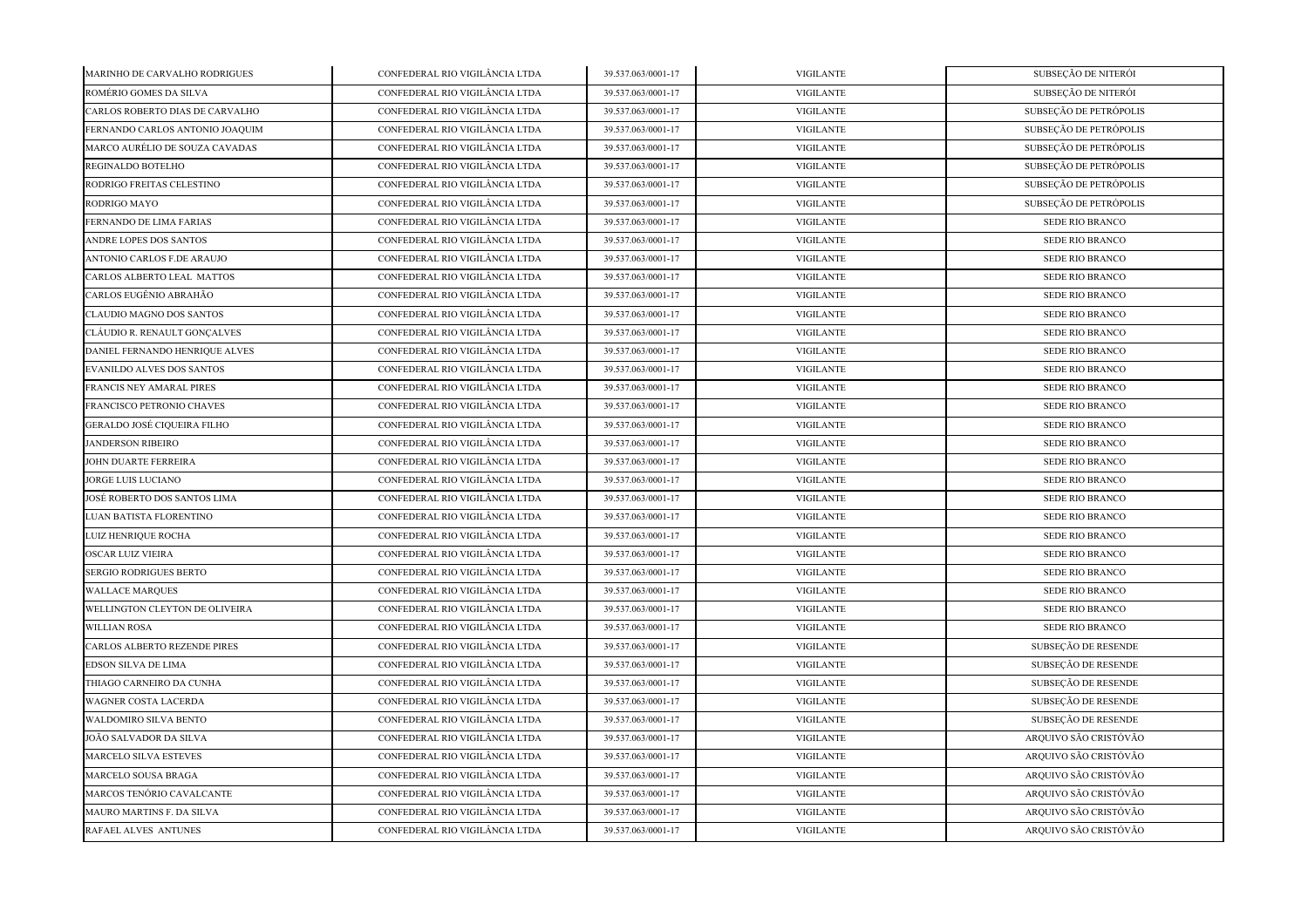| MARINHO DE CARVALHO RODRIGUES    | CONFEDERAL RIO VIGILÂNCIA LTDA | 39.537.063/0001-17 | <b>VIGILANTE</b> | SUBSEÇÃO DE NITERÓI    |
|----------------------------------|--------------------------------|--------------------|------------------|------------------------|
| ROMÉRIO GOMES DA SILVA           | CONFEDERAL RIO VIGILÂNCIA LTDA | 39.537.063/0001-17 | <b>VIGILANTE</b> | SUBSEÇÃO DE NITERÓI    |
| CARLOS ROBERTO DIAS DE CARVALHO  | CONFEDERAL RIO VIGILÂNCIA LTDA | 39.537.063/0001-17 | <b>VIGILANTE</b> | SUBSEÇÃO DE PETRÓPOLIS |
| FERNANDO CARLOS ANTONIO JOAQUIM  | CONFEDERAL RIO VIGILÂNCIA LTDA | 39.537.063/0001-17 | <b>VIGILANTE</b> | SUBSEÇÃO DE PETRÓPOLIS |
| MARCO AURÉLIO DE SOUZA CAVADAS   | CONFEDERAL RIO VIGILÂNCIA LTDA | 39.537.063/0001-17 | <b>VIGILANTE</b> | SUBSEÇÃO DE PETRÓPOLIS |
| REGINALDO BOTELHO                | CONFEDERAL RIO VIGILÂNCIA LTDA | 39.537.063/0001-17 | <b>VIGILANTE</b> | SUBSEÇÃO DE PETRÓPOLIS |
| RODRIGO FREITAS CELESTINO        | CONFEDERAL RIO VIGILÂNCIA LTDA | 39.537.063/0001-17 | <b>VIGILANTE</b> | SUBSEÇÃO DE PETRÓPOLIS |
| RODRIGO MAYO                     | CONFEDERAL RIO VIGILÂNCIA LTDA | 39.537.063/0001-17 | <b>VIGILANTE</b> | SUBSEÇÃO DE PETRÓPOLIS |
| FERNANDO DE LIMA FARIAS          | CONFEDERAL RIO VIGILÂNCIA LTDA | 39.537.063/0001-17 | <b>VIGILANTE</b> | SEDE RIO BRANCO        |
| ANDRE LOPES DOS SANTOS           | CONFEDERAL RIO VIGILÂNCIA LTDA | 39.537.063/0001-17 | <b>VIGILANTE</b> | <b>SEDE RIO BRANCO</b> |
| ANTONIO CARLOS F.DE ARAUJO       | CONFEDERAL RIO VIGILÂNCIA LTDA | 39.537.063/0001-17 | <b>VIGILANTE</b> | <b>SEDE RIO BRANCO</b> |
| CARLOS ALBERTO LEAL MATTOS       | CONFEDERAL RIO VIGILÂNCIA LTDA | 39.537.063/0001-17 | <b>VIGILANTE</b> | SEDE RIO BRANCO        |
| CARLOS EUGÊNIO ABRAHÃO           | CONFEDERAL RIO VIGILÂNCIA LTDA | 39.537.063/0001-17 | <b>VIGILANTE</b> | SEDE RIO BRANCO        |
| CLAUDIO MAGNO DOS SANTOS         | CONFEDERAL RIO VIGILÂNCIA LTDA | 39.537.063/0001-17 | <b>VIGILANTE</b> | SEDE RIO BRANCO        |
| CLÁUDIO R. RENAULT GONÇALVES     | CONFEDERAL RIO VIGILÂNCIA LTDA | 39.537.063/0001-17 | <b>VIGILANTE</b> | <b>SEDE RIO BRANCO</b> |
| DANIEL FERNANDO HENRIQUE ALVES   | CONFEDERAL RIO VIGILÂNCIA LTDA | 39.537.063/0001-17 | <b>VIGILANTE</b> | SEDE RIO BRANCO        |
| EVANILDO ALVES DOS SANTOS        | CONFEDERAL RIO VIGILÂNCIA LTDA | 39.537.063/0001-17 | <b>VIGILANTE</b> | SEDE RIO BRANCO        |
| FRANCIS NEY AMARAL PIRES         | CONFEDERAL RIO VIGILÂNCIA LTDA | 39.537.063/0001-17 | <b>VIGILANTE</b> | SEDE RIO BRANCO        |
| FRANCISCO PETRONIO CHAVES        | CONFEDERAL RIO VIGILÂNCIA LTDA | 39.537.063/0001-17 | <b>VIGILANTE</b> | SEDE RIO BRANCO        |
| GERALDO JOSÉ CIQUEIRA FILHO      | CONFEDERAL RIO VIGILÂNCIA LTDA | 39.537.063/0001-17 | <b>VIGILANTE</b> | SEDE RIO BRANCO        |
| <b>JANDERSON RIBEIRO</b>         | CONFEDERAL RIO VIGILÂNCIA LTDA | 39.537.063/0001-17 | <b>VIGILANTE</b> | SEDE RIO BRANCO        |
| JOHN DUARTE FERREIRA             | CONFEDERAL RIO VIGILÂNCIA LTDA | 39.537.063/0001-17 | <b>VIGILANTE</b> | SEDE RIO BRANCO        |
| JORGE LUIS LUCIANO               | CONFEDERAL RIO VIGILÂNCIA LTDA | 39.537.063/0001-17 | <b>VIGILANTE</b> | SEDE RIO BRANCO        |
| JOSÉ ROBERTO DOS SANTOS LIMA     | CONFEDERAL RIO VIGILÂNCIA LTDA | 39.537.063/0001-17 | <b>VIGILANTE</b> | SEDE RIO BRANCO        |
| LUAN BATISTA FLORENTINO          | CONFEDERAL RIO VIGILÂNCIA LTDA | 39.537.063/0001-17 | <b>VIGILANTE</b> | SEDE RIO BRANCO        |
| LUIZ HENRIQUE ROCHA              | CONFEDERAL RIO VIGILÂNCIA LTDA | 39.537.063/0001-17 | <b>VIGILANTE</b> | SEDE RIO BRANCO        |
| <b>OSCAR LUIZ VIEIRA</b>         | CONFEDERAL RIO VIGILÂNCIA LTDA | 39.537.063/0001-17 | <b>VIGILANTE</b> | SEDE RIO BRANCO        |
| SERGIO RODRIGUES BERTO           | CONFEDERAL RIO VIGILÂNCIA LTDA | 39.537.063/0001-17 | <b>VIGILANTE</b> | <b>SEDE RIO BRANCO</b> |
| <b>WALLACE MARQUES</b>           | CONFEDERAL RIO VIGILÂNCIA LTDA | 39.537.063/0001-17 | <b>VIGILANTE</b> | <b>SEDE RIO BRANCO</b> |
| WELLINGTON CLEYTON DE OLIVEIRA   | CONFEDERAL RIO VIGILÂNCIA LTDA | 39.537.063/0001-17 | <b>VIGILANTE</b> | <b>SEDE RIO BRANCO</b> |
| <b>WILLIAN ROSA</b>              | CONFEDERAL RIO VIGILÂNCIA LTDA | 39.537.063/0001-17 | <b>VIGILANTE</b> | SEDE RIO BRANCO        |
| CARLOS ALBERTO REZENDE PIRES     | CONFEDERAL RIO VIGILÂNCIA LTDA | 39.537.063/0001-17 | <b>VIGILANTE</b> | SUBSEÇÃO DE RESENDE    |
| EDSON SILVA DE LIMA              | CONFEDERAL RIO VIGILÂNCIA LTDA | 39.537.063/0001-17 | <b>VIGILANTE</b> | SUBSEÇÃO DE RESENDE    |
| THIAGO CARNEIRO DA CUNHA         | CONFEDERAL RIO VIGILÂNCIA LTDA | 39.537.063/0001-17 | <b>VIGILANTE</b> | SUBSEÇÃO DE RESENDE    |
| WAGNER COSTA LACERDA             | CONFEDERAL RIO VIGILÂNCIA LTDA | 39.537.063/0001-17 | <b>VIGILANTE</b> | SUBSEÇÃO DE RESENDE    |
| <b>WALDOMIRO SILVA BENTO</b>     | CONFEDERAL RIO VIGILÂNCIA LTDA | 39.537.063/0001-17 | <b>VIGILANTE</b> | SUBSEÇÃO DE RESENDE    |
| JOÃO SALVADOR DA SILVA           | CONFEDERAL RIO VIGILÂNCIA LTDA | 39.537.063/0001-17 | <b>VIGILANTE</b> | ARQUIVO SÃO CRISTÓVÃO  |
| MARCELO SILVA ESTEVES            | CONFEDERAL RIO VIGILÂNCIA LTDA | 39.537.063/0001-17 | <b>VIGILANTE</b> | ARQUIVO SÃO CRISTÓVÃO  |
| MARCELO SOUSA BRAGA              | CONFEDERAL RIO VIGILÂNCIA LTDA | 39.537.063/0001-17 | <b>VIGILANTE</b> | ARQUIVO SÃO CRISTÓVÃO  |
| MARCOS TENÓRIO CAVALCANTE        | CONFEDERAL RIO VIGILÂNCIA LTDA | 39.537.063/0001-17 | <b>VIGILANTE</b> | ARQUIVO SÃO CRISTÓVÃO  |
| <b>MAURO MARTINS F. DA SILVA</b> | CONFEDERAL RIO VIGILÂNCIA LTDA | 39.537.063/0001-17 | <b>VIGILANTE</b> | ARQUIVO SÃO CRISTÓVÃO  |
| <b>RAFAEL ALVES ANTUNES</b>      | CONFEDERAL RIO VIGILÂNCIA LTDA | 39.537.063/0001-17 | <b>VIGILANTE</b> | ARQUIVO SÃO CRISTÓVÃO  |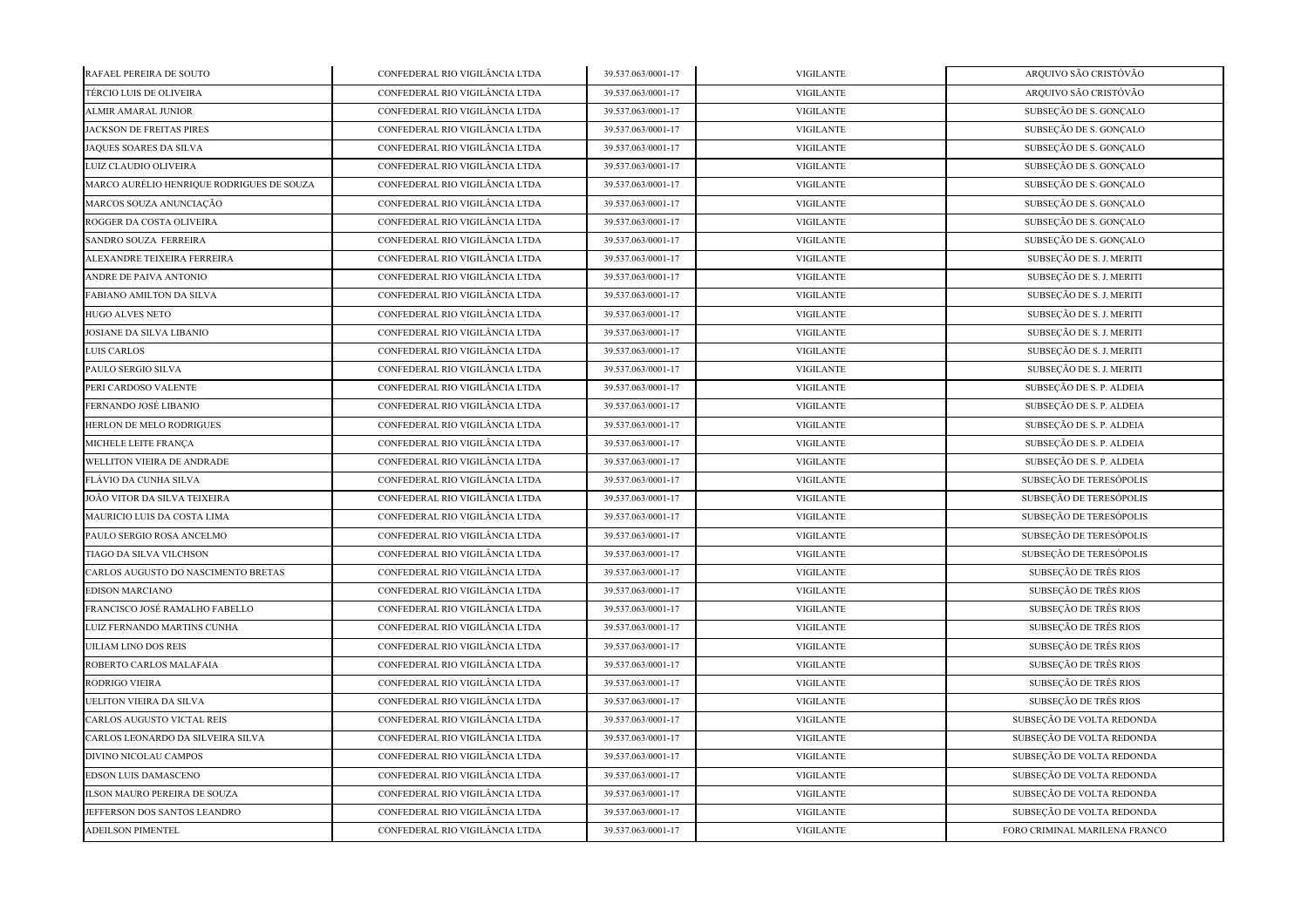| RAFAEL PEREIRA DE SOUTO                   | CONFEDERAL RIO VIGILÂNCIA LTDA | 39.537.063/0001-17 | <b>VIGILANTE</b> | ARQUIVO SÃO CRISTÓVÃO         |
|-------------------------------------------|--------------------------------|--------------------|------------------|-------------------------------|
| TÉRCIO LUIS DE OLIVEIRA                   | CONFEDERAL RIO VIGILÂNCIA LTDA | 39.537.063/0001-17 | <b>VIGILANTE</b> | ARQUIVO SÃO CRISTÓVÃO         |
| ALMIR AMARAL JUNIOR                       | CONFEDERAL RIO VIGILÂNCIA LTDA | 39.537.063/0001-17 | <b>VIGILANTE</b> | SUBSEÇÃO DE S. GONÇALO        |
| JACKSON DE FREITAS PIRES                  | CONFEDERAL RIO VIGILÂNCIA LTDA | 39.537.063/0001-17 | <b>VIGILANTE</b> | SUBSEÇÃO DE S. GONÇALO        |
| JAQUES SOARES DA SILVA                    | CONFEDERAL RIO VIGILÂNCIA LTDA | 39.537.063/0001-17 | <b>VIGILANTE</b> | SUBSEÇÃO DE S. GONÇALO        |
| LUIZ CLAUDIO OLIVEIRA                     | CONFEDERAL RIO VIGILÂNCIA LTDA | 39.537.063/0001-17 | <b>VIGILANTE</b> | SUBSEÇÃO DE S. GONÇALO        |
| MARCO AURÉLIO HENRIQUE RODRIGUES DE SOUZA | CONFEDERAL RIO VIGILÂNCIA LTDA | 39.537.063/0001-17 | <b>VIGILANTE</b> | SUBSEÇÃO DE S. GONÇALO        |
| MARCOS SOUZA ANUNCIAÇÃO                   | CONFEDERAL RIO VIGILÂNCIA LTDA | 39.537.063/0001-17 | <b>VIGILANTE</b> | SUBSEÇÃO DE S. GONÇALO        |
| ROGGER DA COSTA OLIVEIRA                  | CONFEDERAL RIO VIGILÂNCIA LTDA | 39.537.063/0001-17 | <b>VIGILANTE</b> | SUBSEÇÃO DE S. GONÇALO        |
| SANDRO SOUZA FERREIRA                     | CONFEDERAL RIO VIGILÂNCIA LTDA | 39.537.063/0001-17 | <b>VIGILANTE</b> | SUBSEÇÃO DE S. GONÇALO        |
| ALEXANDRE TEIXEIRA FERREIRA               | CONFEDERAL RIO VIGILÂNCIA LTDA | 39.537.063/0001-17 | <b>VIGILANTE</b> | SUBSEÇÃO DE S. J. MERITI      |
| ANDRE DE PAIVA ANTONIO                    | CONFEDERAL RIO VIGILÂNCIA LTDA | 39.537.063/0001-17 | <b>VIGILANTE</b> | SUBSEÇÃO DE S. J. MERITI      |
| FABIANO AMILTON DA SILVA                  | CONFEDERAL RIO VIGILÂNCIA LTDA | 39.537.063/0001-17 | <b>VIGILANTE</b> | SUBSEÇÃO DE S. J. MERITI      |
| <b>HUGO ALVES NETO</b>                    | CONFEDERAL RIO VIGILÂNCIA LTDA | 39.537.063/0001-17 | <b>VIGILANTE</b> | SUBSEÇÃO DE S. J. MERITI      |
| JOSIANE DA SILVA LIBANIO                  | CONFEDERAL RIO VIGILÂNCIA LTDA | 39.537.063/0001-17 | <b>VIGILANTE</b> | SUBSEÇÃO DE S. J. MERITI      |
| LUIS CARLOS                               | CONFEDERAL RIO VIGILÂNCIA LTDA | 39.537.063/0001-17 | <b>VIGILANTE</b> | SUBSEÇÃO DE S. J. MERITI      |
| PAULO SERGIO SILVA                        | CONFEDERAL RIO VIGILÂNCIA LTDA | 39.537.063/0001-17 | <b>VIGILANTE</b> | SUBSEÇÃO DE S. J. MERITI      |
| PERI CARDOSO VALENTE                      | CONFEDERAL RIO VIGILÂNCIA LTDA | 39.537.063/0001-17 | <b>VIGILANTE</b> | SUBSEÇÃO DE S. P. ALDEIA      |
| FERNANDO JOSÉ LIBANIO                     | CONFEDERAL RIO VIGILÂNCIA LTDA | 39.537.063/0001-17 | <b>VIGILANTE</b> | SUBSEÇÃO DE S. P. ALDEIA      |
| HERLON DE MELO RODRIGUES                  | CONFEDERAL RIO VIGILÂNCIA LTDA | 39.537.063/0001-17 | <b>VIGILANTE</b> | SUBSEÇÃO DE S. P. ALDEIA      |
| MICHELE LEITE FRANÇA                      | CONFEDERAL RIO VIGILÂNCIA LTDA | 39.537.063/0001-17 | <b>VIGILANTE</b> | SUBSEÇÃO DE S. P. ALDEIA      |
| WELLITON VIEIRA DE ANDRADE                | CONFEDERAL RIO VIGILÂNCIA LTDA | 39.537.063/0001-17 | <b>VIGILANTE</b> | SUBSEÇÃO DE S. P. ALDEIA      |
| FLÁVIO DA CUNHA SILVA                     | CONFEDERAL RIO VIGILÂNCIA LTDA | 39.537.063/0001-17 | <b>VIGILANTE</b> | SUBSEÇÃO DE TERESÓPOLIS       |
| JOÃO VITOR DA SILVA TEIXEIRA              | CONFEDERAL RIO VIGILÂNCIA LTDA | 39.537.063/0001-17 | <b>VIGILANTE</b> | SUBSEÇÃO DE TERESÓPOLIS       |
| MAURICIO LUIS DA COSTA LIMA               | CONFEDERAL RIO VIGILÂNCIA LTDA | 39.537.063/0001-17 | <b>VIGILANTE</b> | SUBSEÇÃO DE TERESÓPOLIS       |
| PAULO SERGIO ROSA ANCELMO                 | CONFEDERAL RIO VIGILÂNCIA LTDA | 39.537.063/0001-17 | <b>VIGILANTE</b> | SUBSEÇÃO DE TERESÓPOLIS       |
| TIAGO DA SILVA VILCHSON                   | CONFEDERAL RIO VIGILÂNCIA LTDA | 39.537.063/0001-17 | <b>VIGILANTE</b> | SUBSEÇÃO DE TERESÓPOLIS       |
| CARLOS AUGUSTO DO NASCIMENTO BRETAS       | CONFEDERAL RIO VIGILÂNCIA LTDA | 39.537.063/0001-17 | <b>VIGILANTE</b> | SUBSEÇÃO DE TRÊS RIOS         |
| <b>EDISON MARCIANO</b>                    | CONFEDERAL RIO VIGILÂNCIA LTDA | 39.537.063/0001-17 | <b>VIGILANTE</b> | SUBSECÃO DE TRÊS RIOS         |
| FRANCISCO JOSÉ RAMALHO FABELLO            | CONFEDERAL RIO VIGILÂNCIA LTDA | 39.537.063/0001-17 | <b>VIGILANTE</b> | SUBSEÇÃO DE TRÊS RIOS         |
| LUIZ FERNANDO MARTINS CUNHA               | CONFEDERAL RIO VIGILÂNCIA LTDA | 39.537.063/0001-17 | <b>VIGILANTE</b> | SUBSEÇÃO DE TRÊS RIOS         |
| UILIAM LINO DOS REIS                      | CONFEDERAL RIO VIGILÂNCIA LTDA | 39.537.063/0001-17 | <b>VIGILANTE</b> | SUBSEÇÃO DE TRÊS RIOS         |
| ROBERTO CARLOS MALAFAIA                   | CONFEDERAL RIO VIGILÂNCIA LTDA | 39.537.063/0001-17 | <b>VIGILANTE</b> | SUBSEÇÃO DE TRÊS RIOS         |
| RODRIGO VIEIRA                            | CONFEDERAL RIO VIGILÂNCIA LTDA | 39.537.063/0001-17 | <b>VIGILANTE</b> | SUBSEÇÃO DE TRÊS RIOS         |
| <b>UELITON VIEIRA DA SILVA</b>            | CONFEDERAL RIO VIGILÂNCIA LTDA | 39.537.063/0001-17 | <b>VIGILANTE</b> | SUBSEÇÃO DE TRÊS RIOS         |
| CARLOS AUGUSTO VICTAL REIS                | CONFEDERAL RIO VIGILÂNCIA LTDA | 39.537.063/0001-17 | <b>VIGILANTE</b> | SUBSEÇÃO DE VOLTA REDONDA     |
| CARLOS LEONARDO DA SILVEIRA SILVA         | CONFEDERAL RIO VIGILÂNCIA LTDA | 39.537.063/0001-17 | <b>VIGILANTE</b> | SUBSEÇÃO DE VOLTA REDONDA     |
| DIVINO NICOLAU CAMPOS                     | CONFEDERAL RIO VIGILÂNCIA LTDA | 39.537.063/0001-17 | <b>VIGILANTE</b> | SUBSEÇÃO DE VOLTA REDONDA     |
| EDSON LUIS DAMASCENO                      | CONFEDERAL RIO VIGILÂNCIA LTDA | 39.537.063/0001-17 | <b>VIGILANTE</b> | SUBSEÇÃO DE VOLTA REDONDA     |
| ILSON MAURO PEREIRA DE SOUZA              | CONFEDERAL RIO VIGILÂNCIA LTDA | 39.537.063/0001-17 | <b>VIGILANTE</b> | SUBSEÇÃO DE VOLTA REDONDA     |
| JEFFERSON DOS SANTOS LEANDRO              | CONFEDERAL RIO VIGILÂNCIA LTDA | 39.537.063/0001-17 | <b>VIGILANTE</b> | SUBSEÇÃO DE VOLTA REDONDA     |
| <b>ADEILSON PIMENTEL</b>                  | CONFEDERAL RIO VIGILÂNCIA LTDA | 39.537.063/0001-17 | <b>VIGILANTE</b> | FORO CRIMINAL MARILENA FRANCO |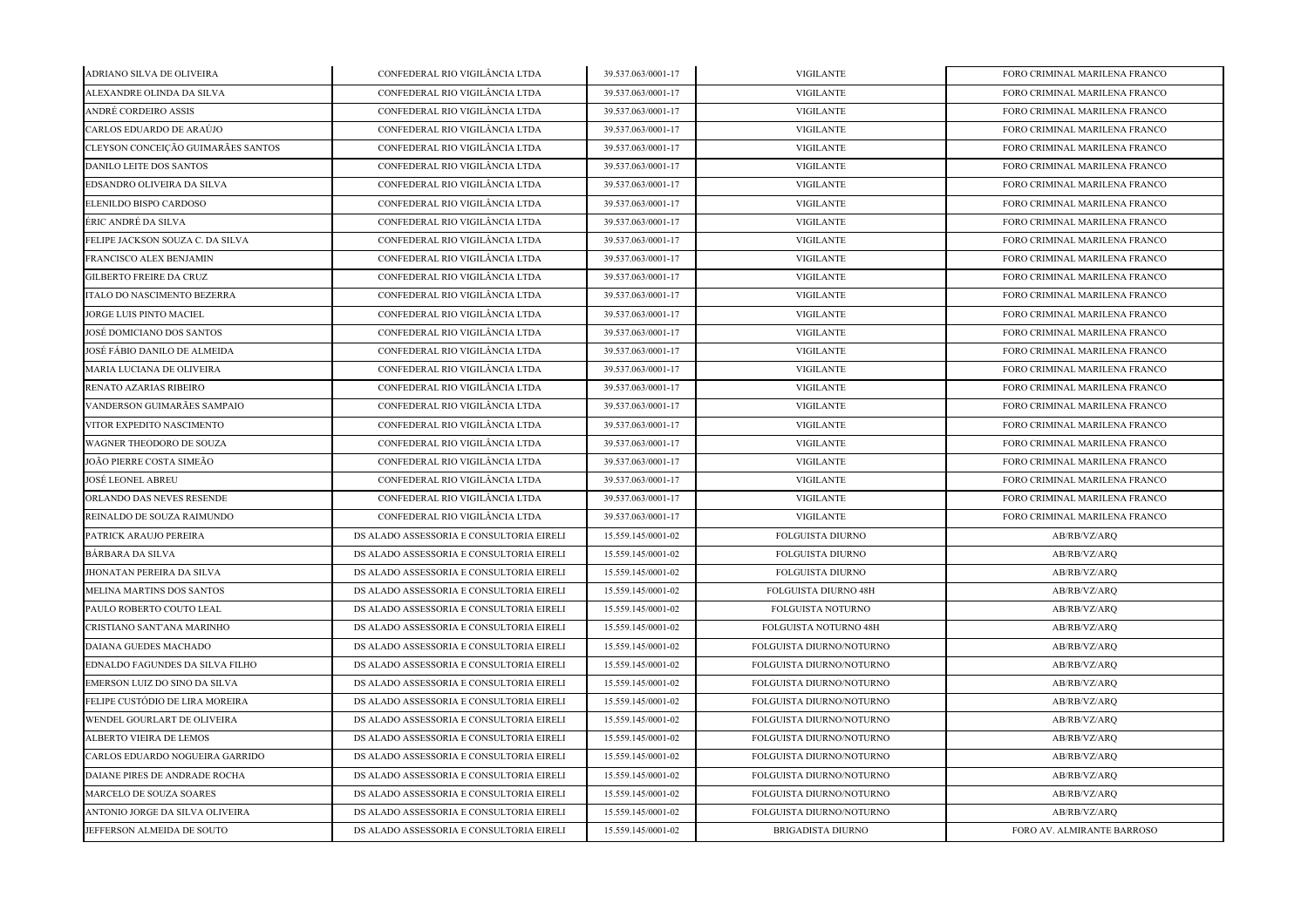| ADRIANO SILVA DE OLIVEIRA          | CONFEDERAL RIO VIGILÂNCIA LTDA           | 39.537.063/0001-17 | <b>VIGILANTE</b>            | FORO CRIMINAL MARILENA FRANCO |
|------------------------------------|------------------------------------------|--------------------|-----------------------------|-------------------------------|
| ALEXANDRE OLINDA DA SILVA          | CONFEDERAL RIO VIGILÂNCIA LTDA           | 39.537.063/0001-17 | <b>VIGILANTE</b>            | FORO CRIMINAL MARILENA FRANCO |
| ANDRÉ CORDEIRO ASSIS               | CONFEDERAL RIO VIGILÂNCIA LTDA           | 39.537.063/0001-17 | <b>VIGILANTE</b>            | FORO CRIMINAL MARILENA FRANCO |
| CARLOS EDUARDO DE ARAÚJO           | CONFEDERAL RIO VIGILÂNCIA LTDA           | 39.537.063/0001-17 | <b>VIGILANTE</b>            | FORO CRIMINAL MARILENA FRANCO |
| CLEYSON CONCEIÇÃO GUIMARÃES SANTOS | CONFEDERAL RIO VIGILÂNCIA LTDA           | 39.537.063/0001-17 | <b>VIGILANTE</b>            | FORO CRIMINAL MARILENA FRANCO |
| DANILO LEITE DOS SANTOS            | CONFEDERAL RIO VIGILÂNCIA LTDA           | 39.537.063/0001-17 | <b>VIGILANTE</b>            | FORO CRIMINAL MARILENA FRANCO |
| EDSANDRO OLIVEIRA DA SILVA         | CONFEDERAL RIO VIGILÂNCIA LTDA           | 39.537.063/0001-17 | <b>VIGILANTE</b>            | FORO CRIMINAL MARILENA FRANCO |
| ELENILDO BISPO CARDOSO             | CONFEDERAL RIO VIGILÂNCIA LTDA           | 39.537.063/0001-17 | <b>VIGILANTE</b>            | FORO CRIMINAL MARILENA FRANCO |
| ÉRIC ANDRÉ DA SILVA                | CONFEDERAL RIO VIGILÂNCIA LTDA           | 39.537.063/0001-17 | <b>VIGILANTE</b>            | FORO CRIMINAL MARILENA FRANCO |
| FELIPE JACKSON SOUZA C. DA SILVA   | CONFEDERAL RIO VIGILÂNCIA LTDA           | 39.537.063/0001-17 | <b>VIGILANTE</b>            | FORO CRIMINAL MARILENA FRANCO |
| FRANCISCO ALEX BENJAMIN            | CONFEDERAL RIO VIGILÂNCIA LTDA           | 39.537.063/0001-17 | <b>VIGILANTE</b>            | FORO CRIMINAL MARILENA FRANCO |
| <b>GILBERTO FREIRE DA CRUZ</b>     | CONFEDERAL RIO VIGILÂNCIA LTDA           | 39.537.063/0001-17 | <b>VIGILANTE</b>            | FORO CRIMINAL MARILENA FRANCO |
| ITALO DO NASCIMENTO BEZERRA        | CONFEDERAL RIO VIGILÂNCIA LTDA           | 39.537.063/0001-17 | <b>VIGILANTE</b>            | FORO CRIMINAL MARILENA FRANCO |
| JORGE LUIS PINTO MACIEL            | CONFEDERAL RIO VIGILÂNCIA LTDA           | 39.537.063/0001-17 | <b>VIGILANTE</b>            | FORO CRIMINAL MARILENA FRANCO |
| JOSÉ DOMICIANO DOS SANTOS          | CONFEDERAL RIO VIGILÂNCIA LTDA           | 39.537.063/0001-17 | <b>VIGILANTE</b>            | FORO CRIMINAL MARILENA FRANCO |
| JOSÉ FÁBIO DANILO DE ALMEIDA       | CONFEDERAL RIO VIGILÂNCIA LTDA           | 39.537.063/0001-17 | <b>VIGILANTE</b>            | FORO CRIMINAL MARILENA FRANCO |
| MARIA LUCIANA DE OLIVEIRA          | CONFEDERAL RIO VIGILÂNCIA LTDA           | 39.537.063/0001-17 | <b>VIGILANTE</b>            | FORO CRIMINAL MARILENA FRANCO |
| RENATO AZARIAS RIBEIRO             | CONFEDERAL RIO VIGILÂNCIA LTDA           | 39.537.063/0001-17 | <b>VIGILANTE</b>            | FORO CRIMINAL MARILENA FRANCO |
| VANDERSON GUIMARÃES SAMPAIO        | CONFEDERAL RIO VIGILÂNCIA LTDA           | 39.537.063/0001-17 | <b>VIGILANTE</b>            | FORO CRIMINAL MARILENA FRANCO |
| VITOR EXPEDITO NASCIMENTO          | CONFEDERAL RIO VIGILÂNCIA LTDA           | 39.537.063/0001-17 | <b>VIGILANTE</b>            | FORO CRIMINAL MARILENA FRANCO |
| WAGNER THEODORO DE SOUZA           | CONFEDERAL RIO VIGILÂNCIA LTDA           | 39.537.063/0001-17 | <b>VIGILANTE</b>            | FORO CRIMINAL MARILENA FRANCO |
| JOÃO PIERRE COSTA SIMEÃO           | CONFEDERAL RIO VIGILÂNCIA LTDA           | 39.537.063/0001-17 | <b>VIGILANTE</b>            | FORO CRIMINAL MARILENA FRANCO |
| JOSÉ LEONEL ABREU                  | CONFEDERAL RIO VIGILÂNCIA LTDA           | 39.537.063/0001-17 | <b>VIGILANTE</b>            | FORO CRIMINAL MARILENA FRANCO |
| ORLANDO DAS NEVES RESENDE          | CONFEDERAL RIO VIGILÂNCIA LTDA           | 39.537.063/0001-17 | <b>VIGILANTE</b>            | FORO CRIMINAL MARILENA FRANCO |
| REINALDO DE SOUZA RAIMUNDO         | CONFEDERAL RIO VIGILÂNCIA LTDA           | 39.537.063/0001-17 | <b>VIGILANTE</b>            | FORO CRIMINAL MARILENA FRANCO |
| PATRICK ARAUJO PEREIRA             | DS ALADO ASSESSORIA E CONSULTORIA EIRELI | 15.559.145/0001-02 | <b>FOLGUISTA DIURNO</b>     | AB/RB/VZ/ARQ                  |
| BÁRBARA DA SILVA                   | DS ALADO ASSESSORIA E CONSULTORIA EIRELI | 15.559.145/0001-02 | <b>FOLGUISTA DIURNO</b>     | AB/RB/VZ/ARQ                  |
| <b>JHONATAN PEREIRA DA SILVA</b>   | DS ALADO ASSESSORIA E CONSULTORIA EIRELI | 15.559.145/0001-02 | <b>FOLGUISTA DIURNO</b>     | AB/RB/VZ/ARQ                  |
| MELINA MARTINS DOS SANTOS          | DS ALADO ASSESSORIA E CONSULTORIA EIRELI | 15.559.145/0001-02 | <b>FOLGUISTA DIURNO 48H</b> | AB/RB/VZ/ARQ                  |
| PAULO ROBERTO COUTO LEAL           | DS ALADO ASSESSORIA E CONSULTORIA EIRELI | 15.559.145/0001-02 | FOLGUISTA NOTURNO           | AB/RB/VZ/ARQ                  |
| CRISTIANO SANT'ANA MARINHO         | DS ALADO ASSESSORIA E CONSULTORIA EIRELI | 15.559.145/0001-02 | FOLGUISTA NOTURNO 48H       | AB/RB/VZ/ARQ                  |
| DAIANA GUEDES MACHADO              | DS ALADO ASSESSORIA E CONSULTORIA EIRELI | 15.559.145/0001-02 | FOLGUISTA DIURNO/NOTURNO    | AB/RB/VZ/ARQ                  |
| EDNALDO FAGUNDES DA SILVA FILHO    | DS ALADO ASSESSORIA E CONSULTORIA EIRELI | 15.559.145/0001-02 | FOLGUISTA DIURNO/NOTURNO    | AB/RB/VZ/ARQ                  |
| EMERSON LUIZ DO SINO DA SILVA      | DS ALADO ASSESSORIA E CONSULTORIA EIRELI | 15.559.145/0001-02 | FOLGUISTA DIURNO/NOTURNO    | AB/RB/VZ/ARQ                  |
| FELIPE CUSTÓDIO DE LIRA MOREIRA    | DS ALADO ASSESSORIA E CONSULTORIA EIRELI | 15.559.145/0001-02 | FOLGUISTA DIURNO/NOTURNO    | AB/RB/VZ/ARQ                  |
| WENDEL GOURLART DE OLIVEIRA        | DS ALADO ASSESSORIA E CONSULTORIA EIRELI | 15.559.145/0001-02 | FOLGUISTA DIURNO/NOTURNO    | AB/RB/VZ/ARQ                  |
| ALBERTO VIEIRA DE LEMOS            | DS ALADO ASSESSORIA E CONSULTORIA EIRELI | 15.559.145/0001-02 | FOLGUISTA DIURNO/NOTURNO    | AB/RB/VZ/ARQ                  |
| CARLOS EDUARDO NOGUEIRA GARRIDO    | DS ALADO ASSESSORIA E CONSULTORIA EIRELI | 15.559.145/0001-02 | FOLGUISTA DIURNO/NOTURNO    | AB/RB/VZ/ARQ                  |
| DAIANE PIRES DE ANDRADE ROCHA      | DS ALADO ASSESSORIA E CONSULTORIA EIRELI | 15.559.145/0001-02 | FOLGUISTA DIURNO/NOTURNO    | AB/RB/VZ/ARQ                  |
| MARCELO DE SOUZA SOARES            | DS ALADO ASSESSORIA E CONSULTORIA EIRELI | 15.559.145/0001-02 | FOLGUISTA DIURNO/NOTURNO    | AB/RB/VZ/ARQ                  |
| ANTONIO JORGE DA SILVA OLIVEIRA    | DS ALADO ASSESSORIA E CONSULTORIA EIRELI | 15.559.145/0001-02 | FOLGUISTA DIURNO/NOTURNO    | AB/RB/VZ/ARQ                  |
| JEFFERSON ALMEIDA DE SOUTO         | DS ALADO ASSESSORIA E CONSULTORIA EIRELI | 15.559.145/0001-02 | <b>BRIGADISTA DIURNO</b>    | FORO AV. ALMIRANTE BARROSO    |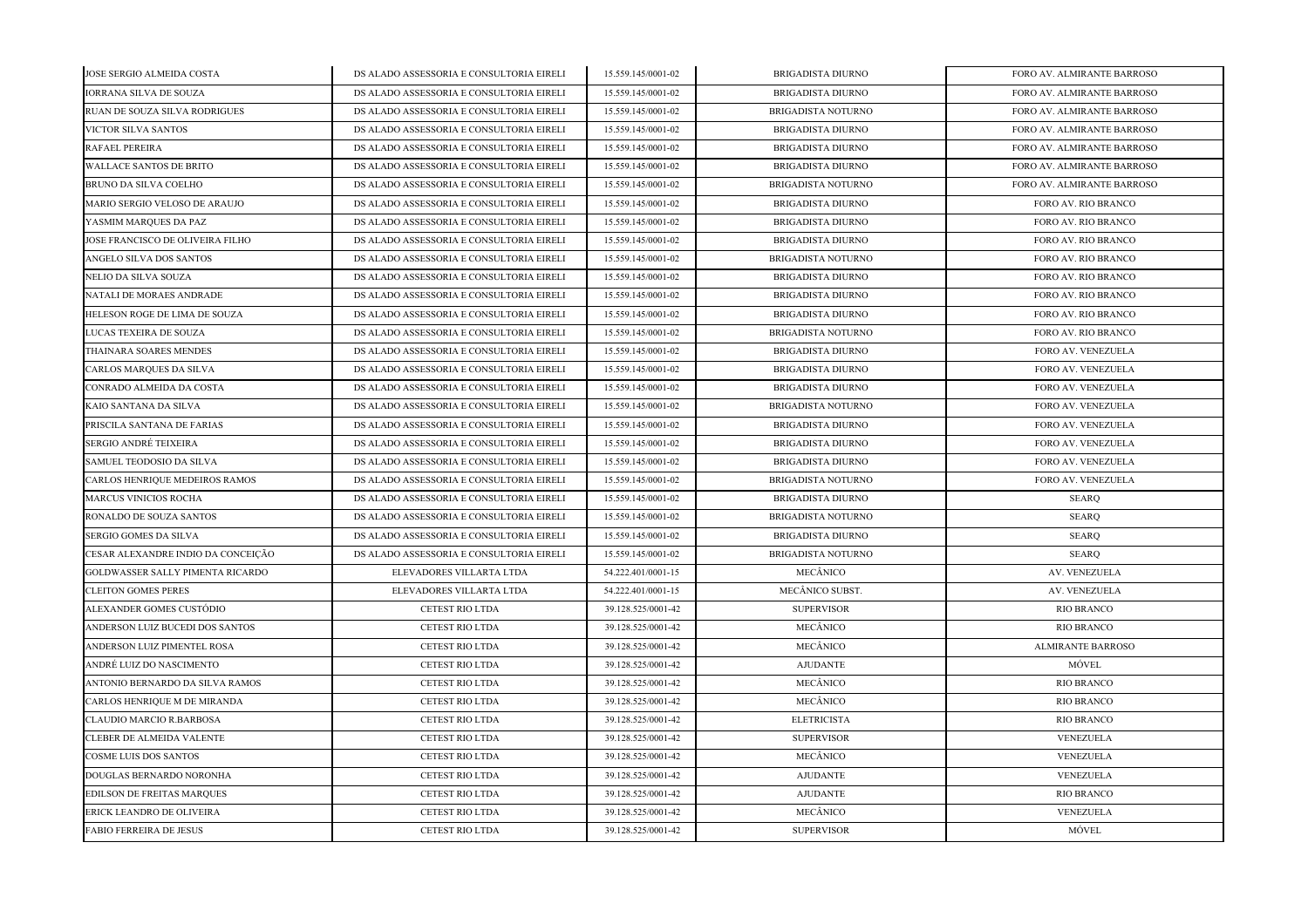| JOSE SERGIO ALMEIDA COSTA          | DS ALADO ASSESSORIA E CONSULTORIA EIRELI | 15.559.145/0001-02 | <b>BRIGADISTA DIURNO</b>  | FORO AV. ALMIRANTE BARROSO |
|------------------------------------|------------------------------------------|--------------------|---------------------------|----------------------------|
| <b>IORRANA SILVA DE SOUZA</b>      | DS ALADO ASSESSORIA E CONSULTORIA EIRELI | 15.559.145/0001-02 | <b>BRIGADISTA DIURNO</b>  | FORO AV. ALMIRANTE BARROSO |
| RUAN DE SOUZA SILVA RODRIGUES      | DS ALADO ASSESSORIA E CONSULTORIA EIRELI | 15.559.145/0001-02 | <b>BRIGADISTA NOTURNO</b> | FORO AV. ALMIRANTE BARROSO |
| VICTOR SILVA SANTOS                | DS ALADO ASSESSORIA E CONSULTORIA EIRELI | 15.559.145/0001-02 | BRIGADISTA DIURNO         | FORO AV. ALMIRANTE BARROSO |
| RAFAEL PEREIRA                     | DS ALADO ASSESSORIA E CONSULTORIA EIRELI | 15.559.145/0001-02 | BRIGADISTA DIURNO         | FORO AV. ALMIRANTE BARROSO |
| WALLACE SANTOS DE BRITO            | DS ALADO ASSESSORIA E CONSULTORIA EIRELI | 15.559.145/0001-02 | BRIGADISTA DIURNO         | FORO AV. ALMIRANTE BARROSO |
| BRUNO DA SILVA COELHO              | DS ALADO ASSESSORIA E CONSULTORIA EIRELI | 15.559.145/0001-02 | <b>BRIGADISTA NOTURNO</b> | FORO AV. ALMIRANTE BARROSO |
| MARIO SERGIO VELOSO DE ARAUJO      | DS ALADO ASSESSORIA E CONSULTORIA EIRELI | 15.559.145/0001-02 | <b>BRIGADISTA DIURNO</b>  | FORO AV. RIO BRANCO        |
| YASMIM MARQUES DA PAZ              | DS ALADO ASSESSORIA E CONSULTORIA EIRELI | 15.559.145/0001-02 | <b>BRIGADISTA DIURNO</b>  | FORO AV. RIO BRANCO        |
| JOSE FRANCISCO DE OLIVEIRA FILHO   | DS ALADO ASSESSORIA E CONSULTORIA EIRELI | 15.559.145/0001-02 | <b>BRIGADISTA DIURNO</b>  | FORO AV. RIO BRANCO        |
| ANGELO SILVA DOS SANTOS            | DS ALADO ASSESSORIA E CONSULTORIA EIRELI | 15.559.145/0001-02 | <b>BRIGADISTA NOTURNO</b> | FORO AV. RIO BRANCO        |
| NELIO DA SILVA SOUZA               | DS ALADO ASSESSORIA E CONSULTORIA EIRELI | 15.559.145/0001-02 | <b>BRIGADISTA DIURNO</b>  | FORO AV. RIO BRANCO        |
| NATALI DE MORAES ANDRADE           | DS ALADO ASSESSORIA E CONSULTORIA EIRELI | 15.559.145/0001-02 | <b>BRIGADISTA DIURNO</b>  | FORO AV. RIO BRANCO        |
| HELESON ROGE DE LIMA DE SOUZA      | DS ALADO ASSESSORIA E CONSULTORIA EIRELI | 15.559.145/0001-02 | <b>BRIGADISTA DIURNO</b>  | FORO AV. RIO BRANCO        |
| LUCAS TEXEIRA DE SOUZA             | DS ALADO ASSESSORIA E CONSULTORIA EIRELI | 15.559.145/0001-02 | <b>BRIGADISTA NOTURNO</b> | FORO AV. RIO BRANCO        |
| THAINARA SOARES MENDES             | DS ALADO ASSESSORIA E CONSULTORIA EIRELI | 15.559.145/0001-02 | <b>BRIGADISTA DIURNO</b>  | FORO AV. VENEZUELA         |
| CARLOS MARQUES DA SILVA            | DS ALADO ASSESSORIA E CONSULTORIA EIRELI | 15.559.145/0001-02 | <b>BRIGADISTA DIURNO</b>  | FORO AV. VENEZUELA         |
| CONRADO ALMEIDA DA COSTA           | DS ALADO ASSESSORIA E CONSULTORIA EIRELI | 15.559.145/0001-02 | <b>BRIGADISTA DIURNO</b>  | FORO AV. VENEZUELA         |
| KAIO SANTANA DA SILVA              | DS ALADO ASSESSORIA E CONSULTORIA EIRELI | 15.559.145/0001-02 | <b>BRIGADISTA NOTURNO</b> | FORO AV. VENEZUELA         |
| PRISCILA SANTANA DE FARIAS         | DS ALADO ASSESSORIA E CONSULTORIA EIRELI | 15.559.145/0001-02 | <b>BRIGADISTA DIURNO</b>  | FORO AV. VENEZUELA         |
| SERGIO ANDRÉ TEIXEIRA              | DS ALADO ASSESSORIA E CONSULTORIA EIRELI | 15.559.145/0001-02 | <b>BRIGADISTA DIURNO</b>  | FORO AV. VENEZUELA         |
| SAMUEL TEODOSIO DA SILVA           | DS ALADO ASSESSORIA E CONSULTORIA EIRELI | 15.559.145/0001-02 | BRIGADISTA DIURNO         | <b>FORO AV. VENEZUELA</b>  |
| CARLOS HENRIQUE MEDEIROS RAMOS     | DS ALADO ASSESSORIA E CONSULTORIA EIRELI | 15.559.145/0001-02 | <b>BRIGADISTA NOTURNO</b> | FORO AV. VENEZUELA         |
| <b>MARCUS VINICIOS ROCHA</b>       | DS ALADO ASSESSORIA E CONSULTORIA EIRELI | 15.559.145/0001-02 | <b>BRIGADISTA DIURNO</b>  | <b>SEARQ</b>               |
| RONALDO DE SOUZA SANTOS            | DS ALADO ASSESSORIA E CONSULTORIA EIRELI | 15.559.145/0001-02 | <b>BRIGADISTA NOTURNO</b> | <b>SEARQ</b>               |
| SERGIO GOMES DA SILVA              | DS ALADO ASSESSORIA E CONSULTORIA EIRELI | 15.559.145/0001-02 | <b>BRIGADISTA DIURNO</b>  | <b>SEARQ</b>               |
| CESAR ALEXANDRE INDIO DA CONCEIÇÃO | DS ALADO ASSESSORIA E CONSULTORIA EIRELI | 15.559.145/0001-02 | BRIGADISTA NOTURNO        | <b>SEARQ</b>               |
| GOLDWASSER SALLY PIMENTA RICARDO   | ELEVADORES VILLARTA LTDA                 | 54.222.401/0001-15 | MECÂNICO                  | AV. VENEZUELA              |
| <b>CLEITON GOMES PERES</b>         | ELEVADORES VILLARTA LTDA                 | 54.222.401/0001-15 | MECÂNICO SUBST.           | AV. VENEZUELA              |
| ALEXANDER GOMES CUSTÓDIO           | <b>CETEST RIO LTDA</b>                   | 39.128.525/0001-42 | <b>SUPERVISOR</b>         | <b>RIO BRANCO</b>          |
| ANDERSON LUIZ BUCEDI DOS SANTOS    | <b>CETEST RIO LTDA</b>                   | 39.128.525/0001-42 | MECÂNICO                  | <b>RIO BRANCO</b>          |
| ANDERSON LUIZ PIMENTEL ROSA        | <b>CETEST RIO LTDA</b>                   | 39.128.525/0001-42 | MECÂNICO                  | <b>ALMIRANTE BARROSO</b>   |
| ANDRÉ LUIZ DO NASCIMENTO           | CETEST RIO LTDA                          | 39.128.525/0001-42 | <b>AJUDANTE</b>           | MÓVEL                      |
| ANTONIO BERNARDO DA SILVA RAMOS    | CETEST RIO LTDA                          | 39.128.525/0001-42 | MECÂNICO                  | <b>RIO BRANCO</b>          |
| CARLOS HENRIQUE M DE MIRANDA       | CETEST RIO LTDA                          | 39.128.525/0001-42 | MECÂNICO                  | <b>RIO BRANCO</b>          |
| CLAUDIO MARCIO R.BARBOSA           | <b>CETEST RIO LTDA</b>                   | 39.128.525/0001-42 | <b>ELETRICISTA</b>        | <b>RIO BRANCO</b>          |
| <b>CLEBER DE ALMEIDA VALENTE</b>   | <b>CETEST RIO LTDA</b>                   | 39.128.525/0001-42 | <b>SUPERVISOR</b>         | VENEZUELA                  |
| COSME LUIS DOS SANTOS              | <b>CETEST RIO LTDA</b>                   | 39.128.525/0001-42 | MECÂNICO                  | VENEZUELA                  |
| DOUGLAS BERNARDO NORONHA           | <b>CETEST RIO LTDA</b>                   | 39.128.525/0001-42 | <b>AJUDANTE</b>           | VENEZUELA                  |
| EDILSON DE FREITAS MARQUES         | <b>CETEST RIO LTDA</b>                   | 39.128.525/0001-42 | <b>AJUDANTE</b>           | <b>RIO BRANCO</b>          |
| ERICK LEANDRO DE OLIVEIRA          | <b>CETEST RIO LTDA</b>                   | 39.128.525/0001-42 | MECÂNICO                  | VENEZUELA                  |
| <b>FABIO FERREIRA DE JESUS</b>     | <b>CETEST RIO LTDA</b>                   | 39.128.525/0001-42 | <b>SUPERVISOR</b>         | MÓVEL                      |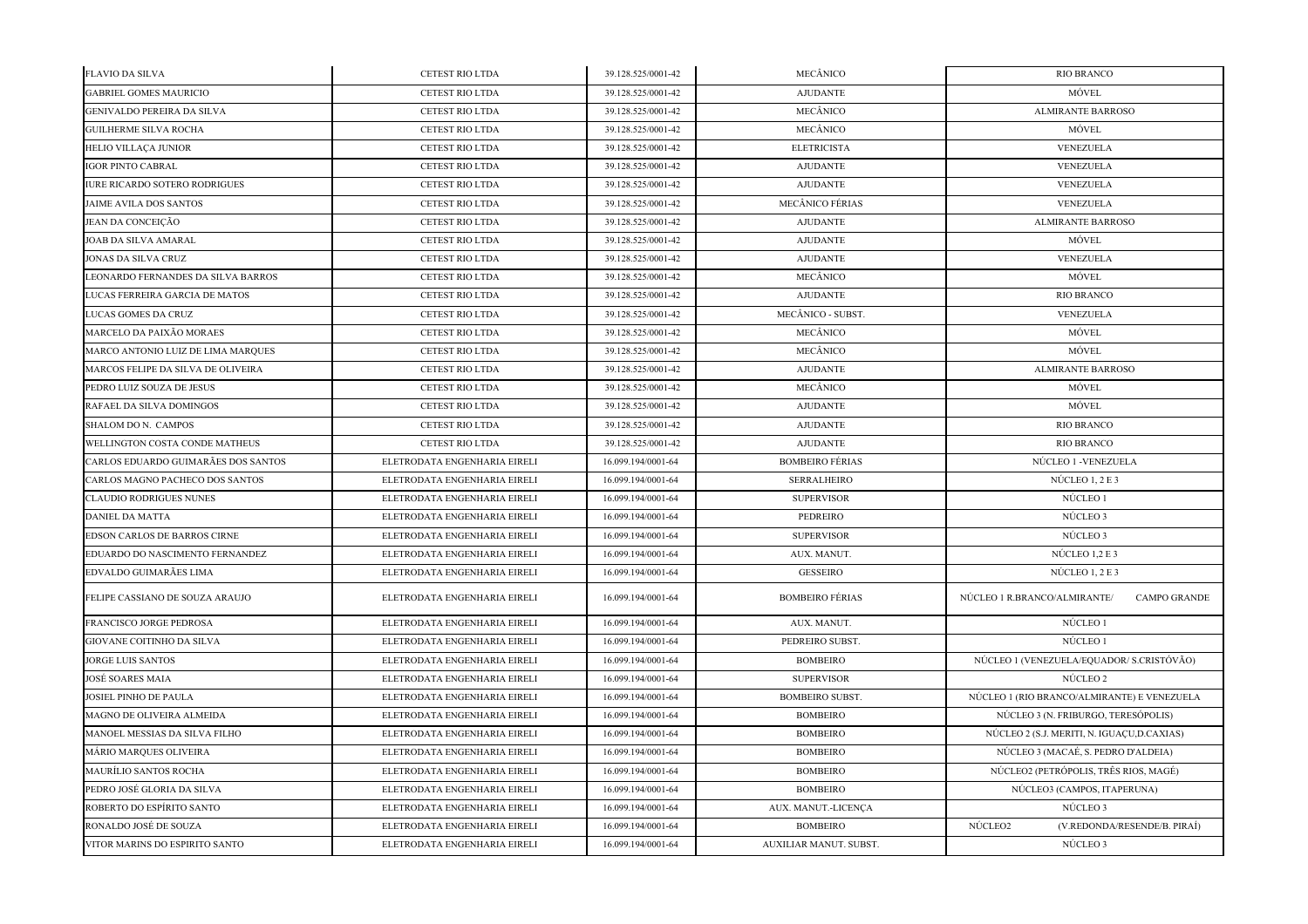| <b>FLAVIO DA SILVA</b>               | <b>CETEST RIO LTDA</b>       | 39.128.525/0001-42 | MECÂNICO               | <b>RIO BRANCO</b>                                   |
|--------------------------------------|------------------------------|--------------------|------------------------|-----------------------------------------------------|
| <b>GABRIEL GOMES MAURICIO</b>        | <b>CETEST RIO LTDA</b>       | 39.128.525/0001-42 | <b>AJUDANTE</b>        | MÓVEL                                               |
| <b>GENIVALDO PEREIRA DA SILVA</b>    | CETEST RIO LTDA              | 39.128.525/0001-42 | MECÂNICO               | <b>ALMIRANTE BARROSO</b>                            |
| GUILHERME SILVA ROCHA                | <b>CETEST RIO LTDA</b>       | 39.128.525/0001-42 | MECÂNICO               | MÓVEL                                               |
| HELIO VILLAÇA JUNIOR                 | <b>CETEST RIO LTDA</b>       | 39.128.525/0001-42 | <b>ELETRICISTA</b>     | VENEZUELA                                           |
| IGOR PINTO CABRAL                    | CETEST RIO LTDA              | 39.128.525/0001-42 | <b>AJUDANTE</b>        | VENEZUELA                                           |
| <b>IURE RICARDO SOTERO RODRIGUES</b> | <b>CETEST RIO LTDA</b>       | 39.128.525/0001-42 | <b>AJUDANTE</b>        | VENEZUELA                                           |
| JAIME AVILA DOS SANTOS               | CETEST RIO LTDA              | 39.128.525/0001-42 | <b>MECÂNICO FÉRIAS</b> | VENEZUELA                                           |
| JEAN DA CONCEIÇÃO                    | CETEST RIO LTDA              | 39.128.525/0001-42 | <b>AJUDANTE</b>        | <b>ALMIRANTE BARROSO</b>                            |
| JOAB DA SILVA AMARAL                 | CETEST RIO LTDA              | 39.128.525/0001-42 | <b>AJUDANTE</b>        | MÓVEL                                               |
| <b>JONAS DA SILVA CRUZ</b>           | <b>CETEST RIO LTDA</b>       | 39.128.525/0001-42 | <b>AJUDANTE</b>        | <b>VENEZUELA</b>                                    |
| LEONARDO FERNANDES DA SILVA BARROS   | <b>CETEST RIO LTDA</b>       | 39.128.525/0001-42 | MECÂNICO               | MÓVEL                                               |
| LUCAS FERREIRA GARCIA DE MATOS       | CETEST RIO LTDA              | 39.128.525/0001-42 | <b>AJUDANTE</b>        | <b>RIO BRANCO</b>                                   |
| LUCAS GOMES DA CRUZ                  | CETEST RIO LTDA              | 39.128.525/0001-42 | MECÂNICO - SUBST.      | VENEZUELA                                           |
| MARCELO DA PAIXÃO MORAES             | <b>CETEST RIO LTDA</b>       | 39.128.525/0001-42 | MECÂNICO               | MÓVEL                                               |
| MARCO ANTONIO LUIZ DE LIMA MARQUES   | <b>CETEST RIO LTDA</b>       | 39.128.525/0001-42 | MECÂNICO               | MÓVEL                                               |
| MARCOS FELIPE DA SILVA DE OLIVEIRA   | CETEST RIO LTDA              | 39.128.525/0001-42 | <b>AJUDANTE</b>        | <b>ALMIRANTE BARROSO</b>                            |
| PEDRO LUIZ SOUZA DE JESUS            | CETEST RIO LTDA              | 39.128.525/0001-42 | MECÂNICO               | MÓVEL                                               |
| RAFAEL DA SILVA DOMINGOS             | <b>CETEST RIO LTDA</b>       | 39.128.525/0001-42 | <b>AJUDANTE</b>        | MÓVEL                                               |
| SHALOM DO N. CAMPOS                  | CETEST RIO LTDA              | 39.128.525/0001-42 | <b>AJUDANTE</b>        | RIO BRANCO                                          |
| WELLINGTON COSTA CONDE MATHEUS       | <b>CETEST RIO LTDA</b>       | 39.128.525/0001-42 | <b>AJUDANTE</b>        | RIO BRANCO                                          |
| CARLOS EDUARDO GUIMARÃES DOS SANTOS  | ELETRODATA ENGENHARIA EIRELI | 16.099.194/0001-64 | <b>BOMBEIRO FÉRIAS</b> | NÚCLEO 1 -VENEZUELA                                 |
| CARLOS MAGNO PACHECO DOS SANTOS      | ELETRODATA ENGENHARIA EIRELI | 16.099.194/0001-64 | <b>SERRALHEIRO</b>     | NÚCLEO $1, 2E$ 3                                    |
| <b>CLAUDIO RODRIGUES NUNES</b>       | ELETRODATA ENGENHARIA EIRELI | 16.099.194/0001-64 | <b>SUPERVISOR</b>      | NÚCLEO 1                                            |
| DANIEL DA MATTA                      | ELETRODATA ENGENHARIA EIRELI | 16.099.194/0001-64 | PEDREIRO               | NÚCLEO 3                                            |
| EDSON CARLOS DE BARROS CIRNE         | ELETRODATA ENGENHARIA EIRELI | 16.099.194/0001-64 | <b>SUPERVISOR</b>      | NÚCLEO 3                                            |
| EDUARDO DO NASCIMENTO FERNANDEZ      | ELETRODATA ENGENHARIA EIRELI | 16.099.194/0001-64 | AUX. MANUT.            | NÚCLEO 1.2 E 3                                      |
| EDVALDO GUIMARÃES LIMA               | ELETRODATA ENGENHARIA EIRELI | 16.099.194/0001-64 | <b>GESSEIRO</b>        | NÚCLEO $1, 2$ E 3                                   |
| FELIPE CASSIANO DE SOUZA ARAUJO      | ELETRODATA ENGENHARIA EIRELI | 16.099.194/0001-64 | <b>BOMBEIRO FÉRIAS</b> | NÚCLEO 1 R.BRANCO/ALMIRANTE/<br><b>CAMPO GRANDE</b> |
| FRANCISCO JORGE PEDROSA              | ELETRODATA ENGENHARIA EIRELI | 16.099.194/0001-64 | AUX. MANUT.            | NÚCLEO 1                                            |
| GIOVANE COITINHO DA SILVA            | ELETRODATA ENGENHARIA EIRELI | 16.099.194/0001-64 | PEDREIRO SUBST.        | NÚCLEO 1                                            |
| JORGE LUIS SANTOS                    | ELETRODATA ENGENHARIA EIRELI | 16.099.194/0001-64 | <b>BOMBEIRO</b>        | NÚCLEO 1 (VENEZUELA/EQUADOR/ S.CRISTÓVÃO)           |
| JOSÉ SOARES MAIA                     | ELETRODATA ENGENHARIA EIRELI | 16.099.194/0001-64 | <b>SUPERVISOR</b>      | NÚCLEO 2                                            |
| JOSIEL PINHO DE PAULA                | ELETRODATA ENGENHARIA EIRELI | 16.099.194/0001-64 | <b>BOMBEIRO SUBST.</b> | NÚCLEO 1 (RIO BRANCO/ALMIRANTE) E VENEZUELA         |
| MAGNO DE OLIVEIRA ALMEIDA            | ELETRODATA ENGENHARIA EIRELI | 16.099.194/0001-64 | <b>BOMBEIRO</b>        | NÚCLEO 3 (N. FRIBURGO, TERESÓPOLIS)                 |
| MANOEL MESSIAS DA SILVA FILHO        | ELETRODATA ENGENHARIA EIRELI | 16.099.194/0001-64 | <b>BOMBEIRO</b>        | NÚCLEO 2 (S.J. MERITI, N. IGUAÇU,D.CAXIAS)          |
| MÁRIO MARQUES OLIVEIRA               | ELETRODATA ENGENHARIA EIRELI | 16.099.194/0001-64 | <b>BOMBEIRO</b>        | NÚCLEO 3 (MACAÉ, S. PEDRO D'ALDEIA)                 |
| MAURÍLIO SANTOS ROCHA                | ELETRODATA ENGENHARIA EIRELI | 16.099.194/0001-64 | <b>BOMBEIRO</b>        | NÚCLEO2 (PETRÓPOLIS, TRÊS RIOS, MAGÉ)               |
| PEDRO JOSÉ GLORIA DA SILVA           | ELETRODATA ENGENHARIA EIRELI | 16.099.194/0001-64 | <b>BOMBEIRO</b>        | NÚCLEO3 (CAMPOS, ITAPERUNA)                         |
| ROBERTO DO ESPÍRITO SANTO            | ELETRODATA ENGENHARIA EIRELI | 16.099.194/0001-64 | AUX. MANUT.-LICENÇA    | NÚCLEO 3                                            |
| RONALDO JOSÉ DE SOUZA                | ELETRODATA ENGENHARIA EIRELI | 16.099.194/0001-64 | <b>BOMBEIRO</b>        | NÚCLEO2<br>(V.REDONDA/RESENDE/B. PIRAÍ)             |
| VITOR MARINS DO ESPIRITO SANTO       | ELETRODATA ENGENHARIA EIRELI | 16.099.194/0001-64 | AUXILIAR MANUT. SUBST. | NÚCLEO 3                                            |